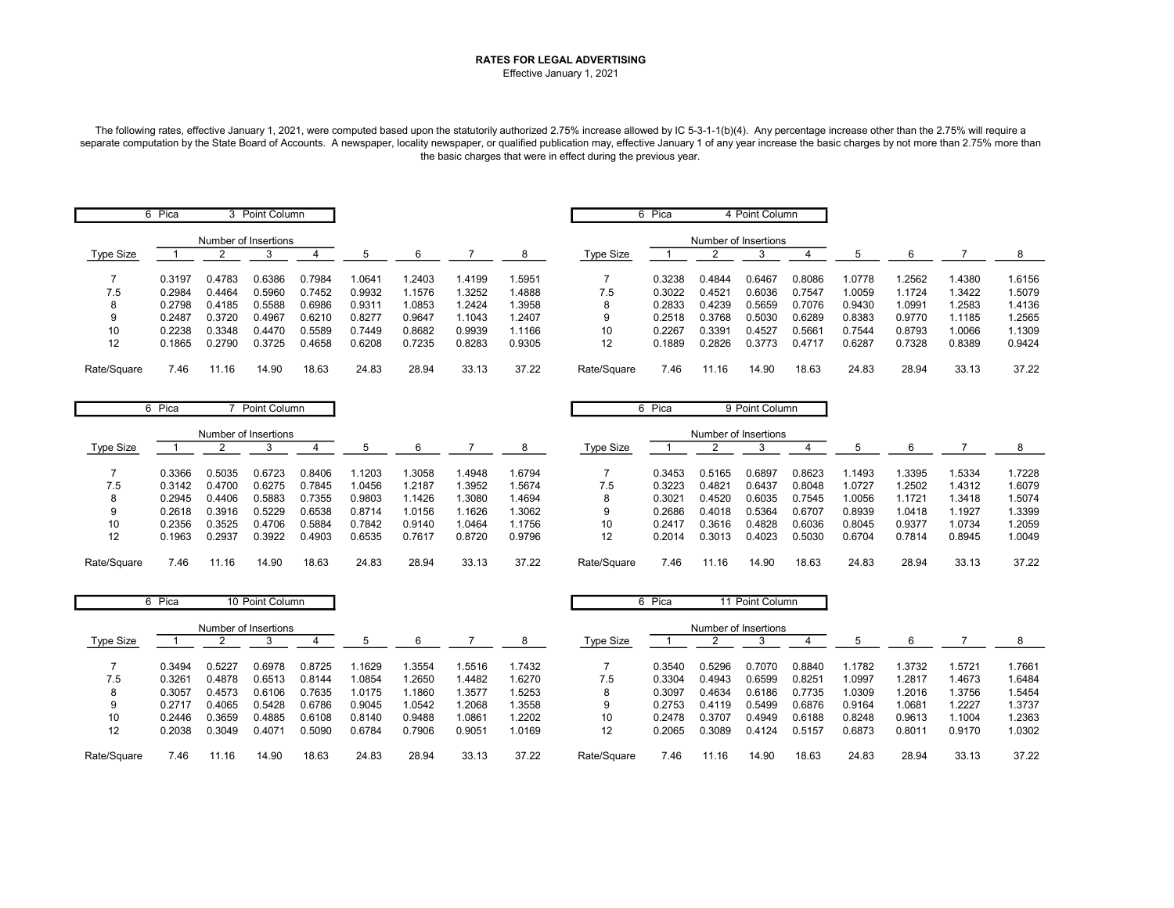## RATES FOR LEGAL ADVERTISING Effective January 1, 2021

The following rates, effective January 1, 2021, were computed based upon the statutorily authorized 2.75% increase allowed by IC 5-3-1-1(b)(4). Any percentage increase other than the 2.75% will require a separate computation by the State Board of Accounts. A newspaper, locality newspaper, or qualified publication may, effective January 1 of any year increase the basic charges by not more than 2.75% more than the basic charges that were in effect during the previous year.

|                  | 6 Pica |                      | 3 Point Column |        |        |        |        |        |             | 6 Pica |                      | 4 Point Column |        |        |        |        |        |
|------------------|--------|----------------------|----------------|--------|--------|--------|--------|--------|-------------|--------|----------------------|----------------|--------|--------|--------|--------|--------|
|                  |        | Number of Insertions |                |        |        |        |        |        |             |        | Number of Insertions |                |        |        |        |        |        |
| <b>Type Size</b> |        |                      |                |        |        |        |        | 8      | Type Size   |        |                      |                |        |        | 6      |        |        |
|                  | 0.3197 | 0.4783               | 0.6386         | 0.7984 | 1.0641 | .2403  | 1.4199 | 1.5951 |             | 0.3238 | 0.4844               | 0.6467         | 0.8086 | .0778  | .2562  | 1.4380 | 1.6156 |
| 7.5              | 0.2984 | 0.4464               | 0.5960         | 0.7452 | 0.9932 | 1.1576 | 1.3252 | .4888  | 7.5         | 0.3022 | 0.4521               | 0.6036         | 0.7547 | .0059  | 1.1724 | 1.3422 | 1.5079 |
| 8                | 0.2798 | 0.4185               | 0.5588         | 0.6986 | 0.9311 | 1.0853 | 1.2424 | .3958  | 8           | 0.2833 | 0.4239               | 0.5659         | 0.7076 | 0.9430 | .0991  | 1.2583 | 1.4136 |
| 9                | 0.2487 | 0.3720               | 0.4967         | 0.6210 | 0.8277 | 0.9647 | 1.1043 | 1.2407 | 9           | 0.2518 | 0.3768               | 0.5030         | 0.6289 | 0.8383 | 0.9770 | 1.1185 | 1.2565 |
| 10               | 0.2238 | 0.3348               | 0.4470         | 0.5589 | 0.7449 | 0.8682 | 0.9939 | 1.1166 | 10          | 0.2267 | 0.3391               | 0.4527         | 0.5661 | 0.7544 | 0.8793 | 1.0066 | 1.1309 |
| 12               | 0.1865 | 0.2790               | 0.3725         | 0.4658 | 0.6208 | 0.7235 | 0.8283 | 0.9305 | 12          | 0.1889 | 0.2826               | 0.3773         | 0.4717 | 0.6287 | 0.7328 | 0.8389 | 0.9424 |
| Rate/Square      | 7.46   | 11.16                | 14.90          | 18.63  | 24.83  | 28.94  | 33.13  | 37.22  | Rate/Square | 7.46   | 11.16                | 14.90          | 18.63  | 24.83  | 28.94  | 33.13  | 37.22  |

|             | 6 Pica |        | Point Column         |        |        |        |        |        |             | Pica   |                      | 9 Point Column |        |        |        |        |        |
|-------------|--------|--------|----------------------|--------|--------|--------|--------|--------|-------------|--------|----------------------|----------------|--------|--------|--------|--------|--------|
| Type Size   |        |        | Number of Insertions |        |        |        |        | 8      | Type Size   |        | Number of Insertions |                |        |        |        |        |        |
|             | 0.3366 | 0.5035 | 0.6723               | 0.8406 | 1.1203 | .3058  | .4948  | .6794  |             | 0.3453 | 0.5165               | 0.6897         | 0.8623 | .1493  | .3395  | 1.5334 | .7228  |
| 7.5         | 0.3142 | 0.4700 | 0.6275               | 0.7845 | .0456  | 1.2187 | .3952  | .5674  | 7.5         | 0.3223 | 0.4821               | 0.6437         | 0.8048 | 1.0727 | .2502  | 1.4312 | 1.6079 |
| 8           | 0.2945 | 0.4406 | 0.5883               | 0.7355 | 0.9803 | 1.1426 | .3080  | .4694  |             | 0.3021 | 0.4520               | 0.6035         | 0.7545 | 1.0056 | .1721  | 1.3418 | 1.5074 |
| 9           | 0.2618 | 0.3916 | 0.5229               | 0.6538 | 0.8714 | .0156  | .1626  | .3062  |             | 0.2686 | 0.4018               | 0.5364         | 0.6707 | 0.8939 | 1.0418 | 1.1927 | 1.3399 |
| 10          | 0.2356 | 0.3525 | 0.4706               | 0.5884 | 0.7842 | 0.9140 | .0464  | .1756  | 10          | 0.2417 | 0.3616               | 0.4828         | 0.6036 | 0.8045 | 0.9377 | 1.0734 | 1.2059 |
| 12          | 0.1963 | 0.2937 | 0.3922               | 0.4903 | 0.6535 | 0.7617 | 0.8720 | 0.9796 | 12          | 0.2014 | 0.3013               | 0.4023         | 0.5030 | 0.6704 | 0.7814 | 0.8945 | 1.0049 |
| Rate/Square | 7.46   | 11.16  | 14.90                | 18.63  | 24.83  | 28.94  | 33.13  | 37.22  | Rate/Square | 7.46   | 1.16                 | 14.90          | 18.63  | 24.83  | 28.94  | 33.13  | 37.22  |

|                  | 6 Pica |        | 10 Point Column      |        |        |        |        |        | 6                | Pica   |                      | 11 Point Column |        |        |        |        |        |
|------------------|--------|--------|----------------------|--------|--------|--------|--------|--------|------------------|--------|----------------------|-----------------|--------|--------|--------|--------|--------|
| <b>Type Size</b> |        |        | Number of Insertions |        | 5      | 6      |        | 8      | <b>Type Size</b> |        | Number of Insertions |                 |        |        | 6      |        | 8      |
|                  | 0.3494 | 0.5227 | 0.6978               | 0.8725 | .1629  | .3554  | 1.5516 | 1.7432 |                  | 0.3540 | 0.5296               | 0.7070          | 0.8840 | .1782  | .3732  | .5721  | 1.7661 |
| 7.5              | 0.3261 | 0.4878 | 0.6513               | 0.8144 | 1.0854 | .2650  | 1.4482 | 1.6270 | 7.5              | 0.3304 | 0.4943               | 0.6599          | 0.8251 | .0997  | .2817  | .4673  | 1.6484 |
| 8                | 0.3057 | 0.4573 | 0.6106               | 0.7635 | 1.0175 | .1860  | .3577  | .5253  |                  | 0.3097 | 0.4634               | 0.6186          | 0.7735 | .0309  | .2016  | .3756  | 1.5454 |
| 9                | 0.2717 | 0.4065 | 0.5428               | 0.6786 | 0.9045 | 1.0542 | 1.2068 | .3558  | 9                | 0.2753 | 0.4119               | 0.5499          | 0.6876 | 0.9164 | .0681  | .2227  | 1.3737 |
| 10               | 0.2446 | 0.3659 | 0.4885               | 0.6108 | 0.8140 | 0.9488 | 1.0861 | .2202  | 10               | 0.2478 | 0.3707               | 0.4949          | 0.6188 | 0.8248 | 0.9613 | .1004  | 1.2363 |
| 12               | 0.2038 | 0.3049 | 0.4071               | 0.5090 | 0.6784 | 0.7906 | 0.9051 | 1.0169 | 12               | 0.2065 | 0.3089               | 0.4124          | 0.5157 | 0.6873 | 0.8011 | 0.9170 | 1.0302 |
| Rate/Square      | 7.46   | 11.16  | 14.90                | 18.63  | 24.83  | 28.94  | 33.13  | 37.22  | Rate/Square      | 7.46   | 11.16                | 14.90           | 18.63  | 24.83  | 28.94  | 33.13  | 37.22  |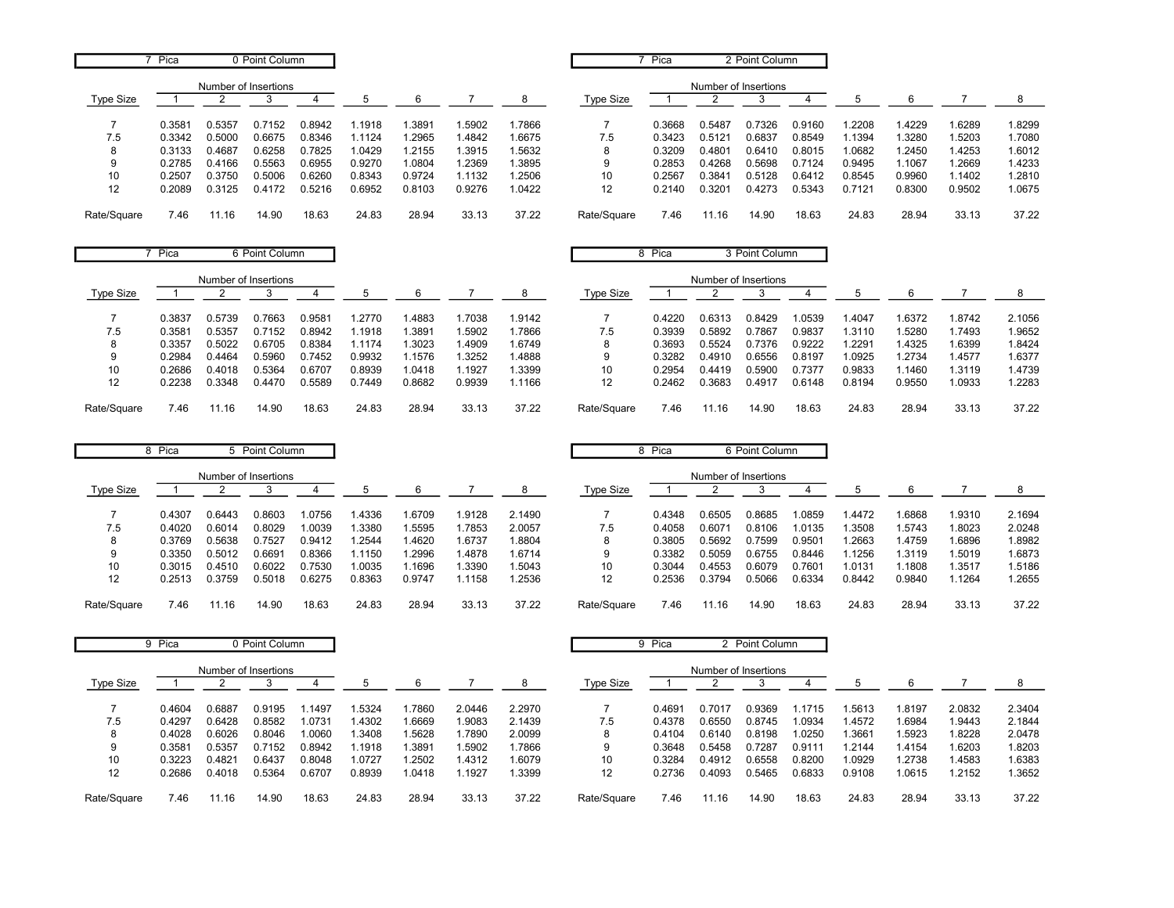|                   | Pica   |                      | 0 Point Column |        |        |        |        |        |             | Pica   |        | 2 Point Column       |        |        |        |        |        |
|-------------------|--------|----------------------|----------------|--------|--------|--------|--------|--------|-------------|--------|--------|----------------------|--------|--------|--------|--------|--------|
|                   |        | Number of Insertions |                |        |        |        |        |        |             |        |        | Number of Insertions |        |        |        |        |        |
| Type Size         |        |                      |                |        | 5      | 6      |        | 8      | Type Size   |        |        |                      |        | b      | 6      |        | 8      |
|                   | 0.358' | 0.5357               | 0.7152         | 0.8942 | .1918  | .3891  | .5902  | 1.7866 |             | 0.3668 | 0.5487 | 0.7326               | 0.9160 | .2208  | .4229  | 1.6289 | 1.8299 |
| 7.5               | 0.3342 | 0.5000               | 0.6675         | 0.8346 | 1.1124 | .2965  | 1.4842 | 1.6675 | 7.5         | 0.3423 | 0.5121 | 0.6837               | 0.8549 | 1.1394 | .3280  | 1.5203 | 1.7080 |
| 8                 | 0.3133 | 0.4687               | 0.6258         | 0.7825 | 1.0429 | .2155  | .3915  | 1.5632 |             | 0.3209 | 0.4801 | 0.6410               | 0.8015 | 1.0682 | .2450  | 1.4253 | 1.6012 |
| 9                 | 0.2785 | 0.4166               | 0.5563         | 0.6955 | 0.9270 | 1.0804 | .2369  | 1.3895 |             | 0.2853 | 0.4268 | 0.5698               | 0.7124 | 0.9495 | .1067  | 1.2669 | 1.4233 |
| 10                | 0.2507 | 0.3750               | 0.5006         | 0.6260 | 0.8343 | 0.9724 | 1.1132 | 1.2506 | 10          | 0.2567 | 0.3841 | 0.5128               | 0.6412 | 0.8545 | 0.9960 | 1.1402 | 1.2810 |
| $12 \overline{ }$ | 0.2089 | 0.3125               | 0.4172         | 0.5216 | 0.6952 | 0.8103 | 0.9276 | 1.0422 | 12          | 0.2140 | 0.3201 | 0.4273               | 0.5343 | 0.7121 | 0.8300 | 0.9502 | 1.0675 |
| Rate/Square       | 7.46   | 11.16                | 14.90          | 18.63  | 24.83  | 28.94  | 33.13  | 37.22  | Rate/Square | 7.46   | 1.16   | 14.90                | 18.63  | 24.83  | 28.94  | 33.13  | 37.22  |

|             | Pica   |        | 6 Point Column       |        |        |        |        |        |                  | 8 Pica |                      | 3 Point Column |        |        |        |        |        |
|-------------|--------|--------|----------------------|--------|--------|--------|--------|--------|------------------|--------|----------------------|----------------|--------|--------|--------|--------|--------|
|             |        |        | Number of Insertions |        |        |        |        |        |                  |        | Number of Insertions |                |        |        |        |        |        |
| Type Size   |        |        |                      |        |        | 6      |        | 8      | <b>Type Size</b> |        |                      |                |        |        | ĥ      |        |        |
|             | 0.3837 | 0.5739 | 0.7663               | 0.9581 | 1.2770 | .4883  | .7038  | 1.9142 |                  | 0.4220 | 0.6313               | 0.8429         | 1.0539 | 1.4047 | .6372  | 1.8742 | 2.1056 |
| 7.5         | 0.3581 | 0.5357 | 0.7152               | 0.8942 | 1.1918 | .3891  | .5902  | 1.7866 | 7.5              | 0.3939 | 0.5892               | 0.7867         | 0.9837 | 1.3110 | .5280  | 1.7493 | 1.9652 |
| 8           | 0.3357 | 0.5022 | 0.6705               | 0.8384 | 1.1174 | .3023  | .4909  | 1.6749 |                  | 0.3693 | 0.5524               | 0.7376         | 0.9222 | 1.2291 | .4325  | 1.6399 | 1.8424 |
| 9           | 0.2984 | 0.4464 | 0.5960               | 0.7452 | 0.9932 | .1576  | .3252  | 1.4888 | 9                | 0.3282 | 0.4910               | 0.6556         | 0.8197 | 1.0925 | .2734  | 1.4577 | 1.6377 |
| 10          | 0.2686 | 0.4018 | 0.5364               | 0.6707 | 0.8939 | .0418  | .1927  | 1.3399 | 10               | 0.2954 | 0.4419               | 0.5900         | 0.7377 | 0.9833 | .1460  | 1.3119 | 1.4739 |
| 12          | 0.2238 | 0.3348 | 0.4470               | 0.5589 | 0.7449 | 0.8682 | 0.9939 | 1.1166 | 12               | 0.2462 | 0.3683               | 0.491          | 0.6148 | 0.8194 | 0.9550 | 1.0933 | 1.2283 |
|             |        |        |                      |        |        |        |        |        |                  |        |                      |                |        |        |        |        |        |
| Rate/Square | 7.46   | 11.16  | 14.90                | 18.63  | 24.83  | 28.94  | 33.13  | 37.22  | Rate/Square      | 7.46   | 11.16                | 14.90          | 18.63  | 24.83  | 28.94  | 33.13  | 37.22  |

|             | Pica<br>o |        | 5 Point Column       |        |        |        |        |        |             | Pica   |                      | 6 Point Column |        |        |        |        |        |
|-------------|-----------|--------|----------------------|--------|--------|--------|--------|--------|-------------|--------|----------------------|----------------|--------|--------|--------|--------|--------|
| Type Size   |           |        | Number of Insertions |        | b      |        |        | 8      | Type Size   |        | Number of Insertions |                |        |        |        |        |        |
|             | 0.4307    | 0.6443 | 0.8603               | .0756  | .4336  | .6709  | .9128  | 2.1490 |             | 0.4348 | 0.6505               | 0.8685         | .0859  | 1.4472 | .6868  | 1.9310 | 2.1694 |
| 7.5         | 0.4020    | 0.6014 | 0.8029               | .0039  | 1.3380 | .5595  | .7853  | 2.0057 | 7.5         | 0.4058 | 0.6071               | 0.8106         | 1.0135 | .3508  | .5743  | 1.8023 | 2.0248 |
| 8           | 0.3769    | 0.5638 | 0.7527               | 0.9412 | .2544  | .4620  | .6737  | .8804  | 8           | 0.3805 | 0.5692               | 0.7599         | 0.9501 | .2663  | .4759  | 1.6896 | 1.8982 |
| 9           | 0.3350    | 0.5012 | 0.6691               | 0.8366 | .1150  | .2996  | .4878  | .6714  |             | 0.3382 | 0.5059               | 0.6755         | 0.8446 | .1256  | .3119  | 1.5019 | 1.6873 |
| 10          | 0.3015    | 0.4510 | 0.6022               | 0.7530 | 1.0035 | .1696  | .3390  | .5043  | 10          | 0.3044 | 0.4553               | 0.6079         | 0.7601 | 1.0131 | .1808  | 1.3517 | 1.5186 |
| 12          | 0.2513    | 0.3759 | 0.5018               | 0.6275 | 0.8363 | 0.9747 | r.1158 | .2536  | 12          | 0.2536 | 0.3794               | 0.5066         | 0.6334 | 0.8442 | 0.9840 | l.1264 | 1.2655 |
| Rate/Square | 7.46      | 11.16  | 14.90                | 18.63  | 24.83  | 28.94  | 33.13  | 37.22  | Rate/Square | 7.46   | 1.16                 | 14.90          | 18.63  | 24.83  | 28.94  | 33.13  | 37.22  |

|             | 9 Pica |        | 0 Point Column       |        |        |        |        |        |                  | 9 Pica |                      | 2 Point Column |        |        |       |        |        |
|-------------|--------|--------|----------------------|--------|--------|--------|--------|--------|------------------|--------|----------------------|----------------|--------|--------|-------|--------|--------|
|             |        |        | Number of Insertions |        |        |        |        |        |                  |        | Number of Insertions |                |        |        |       |        |        |
| Type Size   |        |        |                      |        |        | 6      |        |        | <b>Type Size</b> |        |                      |                |        |        |       |        |        |
|             | 0.4604 | 0.6887 | 0.9195               | .1497  | .5324  | .7860  | 2.0446 | 2.2970 |                  | 0.4691 | J.7017               | 0.9369         | .1715  | .5613  | .8197 | 2.0832 | 2.3404 |
| 7.5         | 0.4297 | 0.6428 | 0.8582               | 1.0731 | .4302  | 1.6669 | 1.9083 | 2.1439 | 7.5              | 0.4378 | 0.6550               | 0.8745         | .0934  | .4572  | .6984 | 1.9443 | 2.1844 |
| 8           | 0.4028 | 0.6026 | 0.8046               | .0060  | .3408  | .5628  | 1.7890 | 2.0099 | 8                | 0.4104 | 0.6140               | 0.8198         | .0250  | .3661  | .5923 | 1.8228 | 2.0478 |
|             | 0.3581 | 0.5357 | 0.7152               | 0.8942 | .1918  | .3891  | 1.5902 | 1.7866 | 9                | 0.3648 | 0.5458               | 0.7287         | 0.9111 | .2144  | .4154 | 1.6203 | 1.8203 |
| 10          | 0.3223 | 0.4821 | 0.6437               | 0.8048 | 1.0727 | .2502  | 1.4312 | 1.6079 | 10               | 0.3284 | 1.4912               | 0.6558         | 0.8200 | .0929  | .2738 | 1.4583 | 1.6383 |
| 12          | 0.2686 | 0.4018 | 0.5364               | 0.6707 | 0.8939 | 1.0418 | 1.1927 | 1.3399 | 12               | 0.2736 | 0.4093               | 0.5465         | 0.6833 | 0.9108 | .0615 | 1.2152 | 1.3652 |
| Rate/Square | 7.46   | 11.16  | 14.90                | 18.63  | 24.83  | 28.94  | 33.13  | 37.22  | Rate/Square      | 7.46   | 11.16                | 14.90          | 18.63  | 24.83  | 28.94 | 33.13  | 37.22  |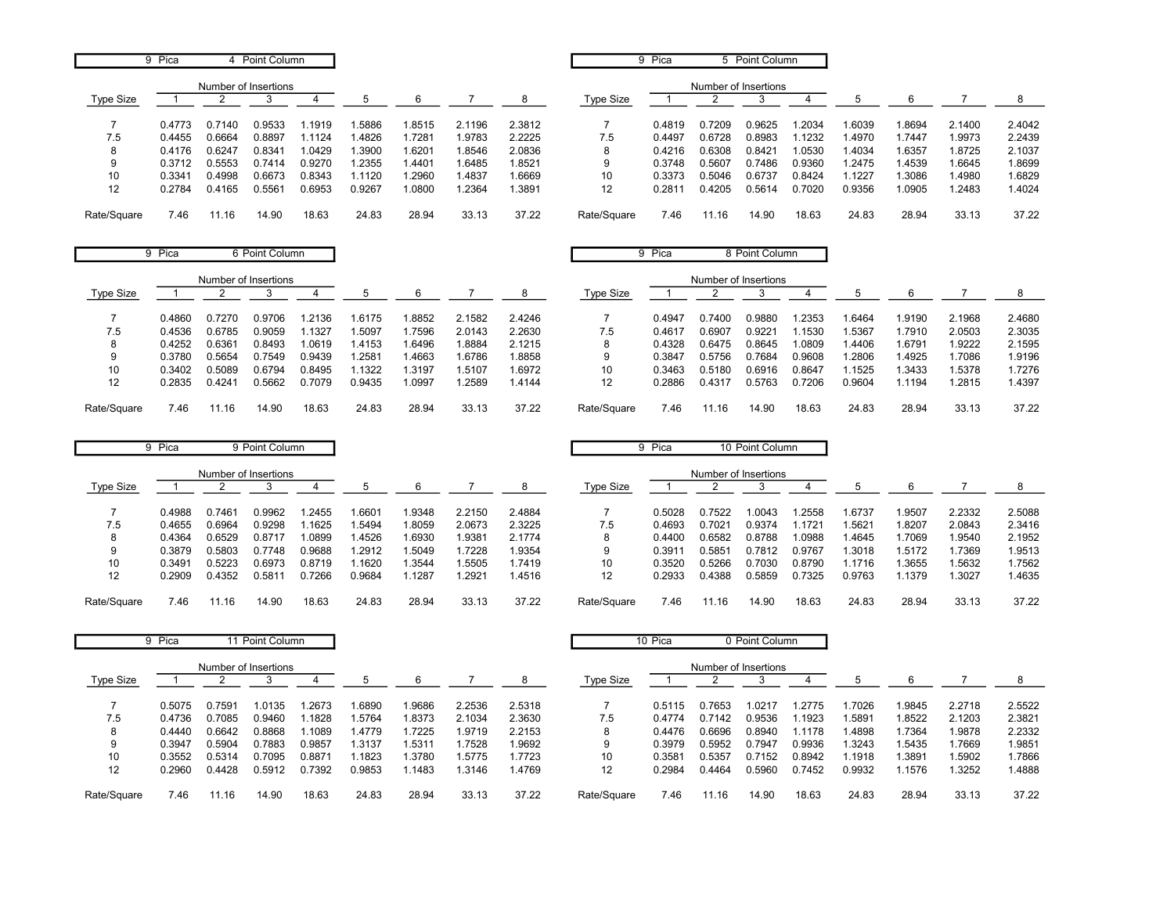|             | 9 Pica |                      | 4 Point Column |        |        |        |        |        |             | 9 Pica |                      | 5 Point Column |        |        |        |        |        |
|-------------|--------|----------------------|----------------|--------|--------|--------|--------|--------|-------------|--------|----------------------|----------------|--------|--------|--------|--------|--------|
|             |        | Number of Insertions |                |        |        |        |        |        |             |        | Number of Insertions |                |        |        |        |        |        |
| Type Size   |        |                      |                |        | 5      | 6      |        | 8      | Type Size   |        |                      |                |        | -5     | 6      |        |        |
|             | 0.4773 | 0.7140               | 0.9533         | .1919  | .5886  | 1.8515 | 2.1196 | 2.3812 |             | 0.4819 | 0.7209               | 0.9625         | .2034  | 1.6039 | 1.8694 | 2.1400 | 2.4042 |
| 7.5         | 0.4455 | 0.6664               | 0.8897         | .1124  | .4826  | 1.7281 | 1.9783 | 2.2225 | 7.5         | 0.4497 | 0.6728               | 0.8983         | .1232  | .4970  | 1.7447 | 1.9973 | 2.2439 |
| 8           | 0.4176 | 0.6247               | 0.834'         | 1.0429 | .3900  | 1.6201 | 1.8546 | 2.0836 | ŏ           | 0.4216 | 0.6308               | 0.8421         | .0530  | 1.4034 | 1.6357 | 1.8725 | 2.1037 |
| 9           | 0.3712 | 0.5553               | 0.7414         | 0.9270 | 1.2355 | 1.4401 | 1.6485 | 1.8521 | 9           | 0.3748 | 0.5607               | 0.7486         | 0.9360 | 1.2475 | 1.4539 | 1.6645 | 1.8699 |
| 10          | 0.3341 | 0.4998               | 0.6673         | 0.8343 | 1.1120 | 1.2960 | 1.4837 | 1.6669 | 10          | 0.3373 | 0.5046               | 0.6737         | 0.8424 | .1227  | 1.3086 | .4980  | 1.6829 |
| 12          | 0.2784 | 0.4165               | 0.5561         | 0.6953 | 0.9267 | 1.0800 | 1.2364 | .3891  | 12          | 0.2811 | 0.4205               | 0.5614         | 0.7020 | 0.9356 | 1.0905 | .2483  | 1.4024 |
| Rate/Square | 7.46   | 11.16                | 14.90          | 18.63  | 24.83  | 28.94  | 33.13  | 37.22  | Rate/Square | 7.46   | 11.16                | 14.90          | 18.63  | 24.83  | 28.94  | 33.13  | 37.22  |

| 9           | Pica   |        | 6 Point Column       |        |        |       |        |        | 9           | Pica   |                      | 8 Point Column |        |        |        |        |        |
|-------------|--------|--------|----------------------|--------|--------|-------|--------|--------|-------------|--------|----------------------|----------------|--------|--------|--------|--------|--------|
|             |        |        | Number of Insertions |        |        |       |        |        |             |        | Number of Insertions |                |        |        |        |        |        |
| Type Size   |        |        |                      |        |        | 6     |        | 8      | Type Size   |        |                      |                |        |        | 6      |        |        |
|             | 0.4860 | 0.7270 | 0.9706               | .2136  | 1.6175 | .8852 | 2.1582 | 2.4246 |             | 0.4947 | 0.7400               | 0.9880         | .2353  | 1.6464 | 1.9190 | 2.1968 | 2.4680 |
| 7.5         | 0.4536 | 0.6785 | 0.9059               | 1.1327 | 1.5097 | .7596 | 2.0143 | 2.2630 | 7.5         | 0.4617 | 0.6907               | 0.9221         | .1530  | 1.5367 | .7910  | 2.0503 | 2.3035 |
|             | 0.4252 | 0.6361 | 0.8493               | 1.0619 | 1.4153 | .6496 | 1.8884 | 2.1215 | 8           | 0.4328 | 0.6475               | 0.8645         | 1.0809 | .4406  | 1.6791 | .9222  | 2.1595 |
| 9           | 0.3780 | 0.5654 | 0.7549               | 0.9439 | 1.2581 | .4663 | 1.6786 | .8858  | 9           | 0.3847 | 0.5756               | 0.7684         | 0.9608 | 1.2806 | .4925  | .7086  | 1.9196 |
| 10          | 0.3402 | 0.5089 | 0.6794               | 0.8495 | i.1322 | .3197 | 1.5107 | .6972  | 10          | 0.3463 | 0.5180               | 0.6916         | 0.8647 | 1.1525 | .3433  | .5378  | 1.7276 |
| 12          | 0.2835 | 0.4241 | 0.5662               | 0.7079 | 0.9435 | .0997 | 1.2589 | 1.4144 | 12          | 0.2886 | 0.4317               | 0.5763         | 0.7206 | 0.9604 | l.1194 | .2815  | 1.4397 |
| Rate/Square | 7.46   | 11.16  | 14.90                | 18.63  | 24.83  | 28.94 | 33.13  | 37.22  | Rate/Square | 7.46   | 11.16                | 14.90          | 18.63  | 24.83  | 28.94  | 33.13  | 37.22  |

|                  | 9 Pica |        | 9 Point Column       |        |        |       |        |        |             | Pica   |                      | 10 Point Column |        |        |        |        |        |
|------------------|--------|--------|----------------------|--------|--------|-------|--------|--------|-------------|--------|----------------------|-----------------|--------|--------|--------|--------|--------|
|                  |        |        | Number of Insertions |        |        |       |        |        |             |        | Number of Insertions |                 |        |        |        |        |        |
| <b>Type Size</b> |        |        |                      |        |        |       |        |        | Type Size   |        |                      |                 |        |        | 6      |        |        |
|                  | 0.4988 | 0.7461 | 0.9962               | .2455  | .6601  | .9348 | 2.2150 | 2.4884 |             | 0.5028 | 0.7522               | 1.0043          | .2558  | .6737  | .9507  | 2.2332 | 2.5088 |
| 7.5              | 0.4655 | 0.6964 | 0.9298               | .1625  | .5494  | .8059 | 2.0673 | 2.3225 | 7.5         | 0.4693 | 0.7021               | 0.9374          | .1721  | .5621  | 1.8207 | 2.0843 | 2.3416 |
| 8                | 0.4364 | 0.6529 | 0.8717               | .0899  | .4526  | .6930 | .9381  | 2.1774 |             | 0.4400 | 0.6582               | 0.8788          | 1.0988 | .4645  | .7069  | .9540  | 2.1952 |
| 9                | 0.3879 | 0.5803 | 0.7748               | 0.9688 | .2912  | .5049 | .7228  | 1.9354 | g           | 0.391  | 0.5851               | 0.7812          | 0.9767 | .3018  | 1.5172 | .7369  | 1.9513 |
| 10               | 0.3491 | 0.5223 | 0.6973               | 0.8719 | .1620  | .3544 | .5505  | 1.7419 | 10          | 0.3520 | 0.5266               | 0.7030          | 0.8790 | 1.1716 | .3655  | .5632  | 1.7562 |
| 12               | 0.2909 | 0.4352 | $0.581^{\circ}$      | 0.7266 | 0.9684 | .1287 | .2921  | 1.4516 | 12          | 0.2933 | 0.4388               | 0.5859          | 0.7325 | 0.9763 | 1379ء  | .3027  | 1.4635 |
| Rate/Square      | 7.46   | 11.16  | 14.90                | 18.63  | 24.83  | 28.94 | 33.13  | 37.22  | Rate/Square | 7.46   | 1.16                 | 14.90           | 18.63  | 24.83  | 28.94  | 33.13  | 37.22  |

|             | 9 Pica |                      | 11 Point Column |        |        |        |        |        |                  | 10 Pica |                      | 0 Point Column |        |        |        |        |        |
|-------------|--------|----------------------|-----------------|--------|--------|--------|--------|--------|------------------|---------|----------------------|----------------|--------|--------|--------|--------|--------|
|             |        | Number of Insertions |                 |        |        |        |        |        |                  |         | Number of Insertions |                |        |        |        |        |        |
| Type Size   |        |                      |                 |        |        | 6      |        |        | <b>Type Size</b> |         |                      |                |        |        | 6      |        |        |
|             | 0.5075 | 0.7591               | 1.0135          | 1.2673 | 1.6890 | 1.9686 | 2.2536 | 2.5318 |                  | 0.5115  | 0.7653               | .0217          | .2775  | .7026  | Ⅰ.9845 | 2.2718 | 2.5522 |
| 7.5         | 0.4736 | 0.7085               | 0.9460          | 1.1828 | .5764  | 1.8373 | 2.1034 | 2.3630 | 7.5              | 0.4774  | 0.7142               | 0.9536         | .1923  | .5891  | .8522  | 2.1203 | 2.3821 |
| 8           | 0.4440 | 0.6642               | 0.8868          | 1.1089 | 1.4779 | .7225  | 1.9719 | 2.2153 | 8                | 0.4476  | 0.6696               | 0.8940         | 1.1178 | .4898  | 1.7364 | 1.9878 | 2.2332 |
| 9           | 0.3947 | 0.5904               | 0.7883          | 0.9857 | 1.3137 | 1.5311 | .7528  | 1.9692 | 9                | 0.3979  | 0.5952               | 0.7947         | 0.9936 | .3243  | .5435  | 1.7669 | 1.9851 |
| 10          | 0.3552 | 0.5314               | 0.7095          | 0.8871 | 1.1823 | 1.3780 | .5775  | 1.7723 | 10               | 0.358'  | 0.5357               | 0.7152         | 0.8942 | .1918  | .3891  | 1.5902 | .7866  |
| 12          | 0.2960 | 0.4428               | 0.5912          | 0.7392 | 0.9853 | .1483  | .3146  | 1.4769 | 12               | 0.2984  | 0.4464               | 0.5960         | 0.7452 | 0.9932 | .1576  | 1.3252 | .4888  |
| Rate/Square | 7.46   | 11.16                | 14.90           | 18.63  | 24.83  | 28.94  | 33.13  | 37.22  | Rate/Square      | 7.46    | 11.16                | 14.90          | 18.63  | 24.83  | 28.94  | 33.13  | 37.22  |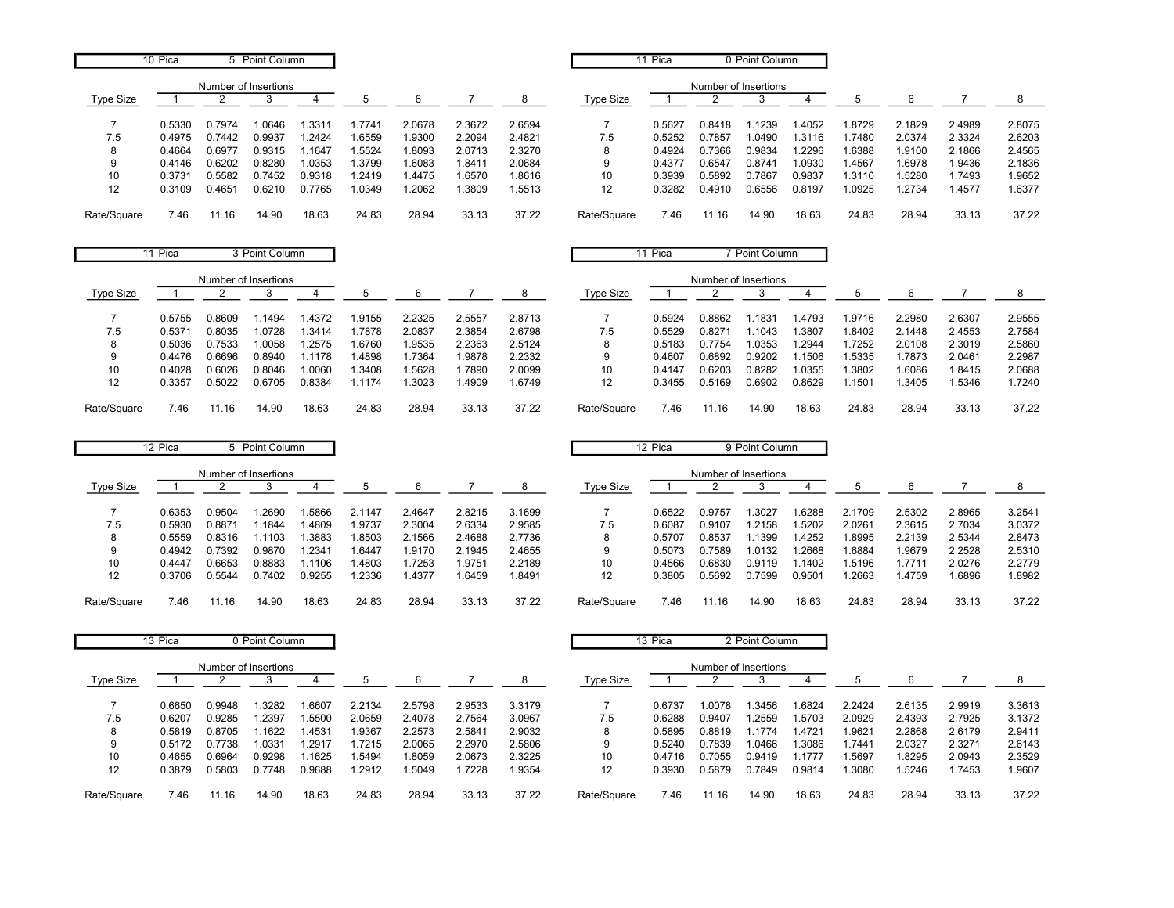|                   | 10 Pica |        | 5 Point Column       |        |        |        |        |        |             | 11 Pica |        | 0 Point Column       |        |        |        |        |        |
|-------------------|---------|--------|----------------------|--------|--------|--------|--------|--------|-------------|---------|--------|----------------------|--------|--------|--------|--------|--------|
|                   |         |        | Number of Insertions |        |        |        |        |        |             |         |        | Number of Insertions |        |        |        |        |        |
| Type Size         |         |        |                      |        | b      | 6      |        | 8      | Type Size   |         |        |                      |        |        |        |        |        |
|                   | 0.5330  | 0.7974 | 1.0646               | .3311  | .7741  | 2.0678 | 2.3672 | 2.6594 |             | 0.5627  | 0.8418 | 1.1239               | .4052  | 1.8729 | 2.1829 | 2.4989 | 2.8075 |
| 7.5               | 0.4975  | 0.7442 | 0.9937               | .2424  | 1.6559 | 1.9300 | 2.2094 | 2.4821 | 7.5         | 0.5252  | 0.7857 | 1.0490               | .3116  | .7480  | 2.0374 | 2.3324 | 2.6203 |
| 8                 | 0.4664  | 0.6977 | 0.9315               | .1647  | .5524  | 1.8093 | 2.0713 | 2.3270 | 8           | 0.4924  | 0.7366 | 0.9834               | .2296  | 1.6388 | 1.9100 | 2.1866 | 2.4565 |
| 9                 | 0.4146  | 0.6202 | 0.8280               | 1.0353 | .3799  | 1.6083 | 1.8411 | 2.0684 | 9           | 0.4377  | 0.6547 | 0.8741               | .0930  | 1.4567 | 1.6978 | 9436.  | 2.1836 |
| 10                | 0.3731  | 0.5582 | 0.7452               | 0.9318 | .2419  | .4475  | 1.6570 | 1.8616 | 10          | 0.3939  | 0.5892 | 0.7867               | 0.9837 | 1.3110 | .5280  | 1.7493 | 1.9652 |
| $12 \overline{ }$ | 0.3109  | 0.4651 | 0.6210               | 0.7765 | 1.0349 | .2062  | .3809  | .5513  | 12          | 0.3282  | 0.4910 | 0.6556               | 0.8197 | 1.0925 | .2734  | .4577  | 1.6377 |
| Rate/Square       | 7.46    | 11.16  | 14.90                | 18.63  | 24.83  | 28.94  | 33.13  | 37.22  | Rate/Square | 7.46    |        | 14.90                | 18.63  | 24.83  | 28.94  | 33.13  | 37.22  |

|             | 11 Pica |                      | 3 Point Column |        |       |        |        |        |             | 11 Pica |                      | 7 Point Column |        |        |        |        |        |
|-------------|---------|----------------------|----------------|--------|-------|--------|--------|--------|-------------|---------|----------------------|----------------|--------|--------|--------|--------|--------|
|             |         | Number of Insertions |                |        |       |        |        |        |             |         | Number of Insertions |                |        |        |        |        |        |
| Type Size   |         |                      |                |        | 5     | 6      |        | 8      | Type Size   |         |                      |                |        |        | 6      |        |        |
|             | 0.5755  | 0.8609               | .1494          | .4372  | .9155 | 2.2325 | 2.5557 | 2.8713 |             | 0.5924  | 0.8862               | .183'          | .4793  | 1.9716 | 2.2980 | 2.6307 | 2.9555 |
| 7.5         | 0.537'  | 0.8035               | 1.0728         | .3414  | .7878 | 2.0837 | 2.3854 | 2.6798 | 7.5         | 0.5529  | 0.8271               | l.1043         | .3807  | 1.8402 | 2.1448 | 2.4553 | 2.7584 |
| 8           | 0.5036  | 0.7533               | .0058          | .2575  | .6760 | 1.9535 | 2.2363 | 2.5124 | 8           | 0.5183  | 0.7754               | 1.0353         | .2944  | .7252  | 2.0108 | 2.3019 | 2.5860 |
| 9           | 0.4476  | 0.6696               | 0.8940         | .1178  | .4898 | 1.7364 | .9878  | 2.2332 | 9           | 0.4607  | 0.6892               | 0.9202         | .1506  | 1.5335 | .7873  | 2.0461 | 2.2987 |
| 10          | 0.4028  | 0.6026               | 0.8046         | .0060  | .3408 | .5628  | .7890  | 2.0099 | 10          | 0.4147  | 0.6203               | 0.8282         | 1.0355 | .3802  | .6086  | 1.8415 | 2.0688 |
| 12          | 0.3357  | 0.5022               | 0.6705         | 0.8384 | .1174 | .3023  | .4909  | 1.6749 | 12          | 0.3455  | 0.5169               | 0.6902         | 0.8629 | .1501  | .3405  | 1.5346 | 1.7240 |
| Rate/Square | 7.46    | .16                  | 14.90          | 18.63  | 24.83 | 28.94  | 33.13  | 37.22  | Rate/Square | 7.46    | 11.16                | 14.90          | 18.63  | 24.83  | 28.94  | 33.13  | 37.22  |

|                  | 12 Pica |        | 5 Point Column       |        |        |        |        |        |             | 12 Pica |                      | 9 Point Column |        |        |        |        |        |
|------------------|---------|--------|----------------------|--------|--------|--------|--------|--------|-------------|---------|----------------------|----------------|--------|--------|--------|--------|--------|
|                  |         |        | Number of Insertions |        |        |        |        |        |             |         | Number of Insertions |                |        |        |        |        |        |
| <b>Type Size</b> |         |        |                      |        |        | 6      |        |        | Type Size   |         |                      |                |        |        |        |        |        |
|                  | 0.6353  | 0.9504 | .2690                | .5866  | 2.1147 | 2.4647 | 2.8215 | 3.1699 |             | 0.6522  | 0.9757               | .3027          | .6288  | 2.1709 | 2.5302 | 2.8965 | 3.2541 |
| 7.5              | 0.5930  | 0.8871 | .1844                | .4809  | .9737  | 2.3004 | 2.6334 | 2.9585 | 7.5         | 0.6087  | 0.9107               | .2158          | .5202  | 2.0261 | 2.3615 | 2.7034 | 3.0372 |
|                  | 0.5559  | 0.8316 | 1.1103               | .3883  | .8503  | 2.1566 | 2.4688 | 2.7736 |             | 0.5707  | 0.8537               | .1399          | .4252  | .8995  | 2.2139 | 2.5344 | 2.8473 |
| 9                | 0.4942  | 0.7392 | 0.9870               | .2341  | .6447  | .9170  | 2.1945 | 2.4655 | 9           | 0.5073  | 0.7589               | 1.0132         | .2668  | .6884  | .9679  | 2.2528 | 2.5310 |
| 10               | 0.4447  | 0.6653 | 0.8883               | .1106  | .4803  | .7253  | .9751  | 2.2189 | 10          | 0.4566  | 0.6830               | 0.9119         | .1402  | .5196  | .7711  | 2.0276 | 2.2779 |
| 12               | 0.3706  | 0.5544 | 0.7402               | 0.9255 | .2336  | .4377  | .6459  | 1.8491 | 12          | 0.3805  | 0.5692               | 0.7599         | 0.9501 | .2663  | .4759  | 1.6896 | 1.8982 |
| Rate/Square      | 7.46    | 11.16  | 14.90                | 18.63  | 24.83  | 28.94  | 33.13  | 37.22  | Rate/Square | 7.46    | 11.16                | 14.90          | 18.63  | 24.83  | 28.94  | 33.13  | 37.22  |

|                  | 13 Pica |                      | 0 Point Column |        |        |        |        |        |                  | 13 Pica |                      | 2 Point Column |        |        |        |        |        |
|------------------|---------|----------------------|----------------|--------|--------|--------|--------|--------|------------------|---------|----------------------|----------------|--------|--------|--------|--------|--------|
|                  |         | Number of Insertions |                |        |        |        |        |        |                  |         | Number of Insertions |                |        |        |        |        |        |
| <b>Type Size</b> |         |                      |                |        | 5      | 6      |        |        | <b>Type Size</b> |         |                      |                |        | b      | 6      |        |        |
|                  | 0.6650  | 0.9948               | .3282          | .6607  | 2.2134 | 2.5798 | 2.9533 | 3.3179 |                  | 0.6737  | .0078                | .3456          | .6824  | 2.2424 | 2.6135 | 2.9919 | 3.3613 |
| 7.5              | 0.6207  | 0.9285               | .2397          | 1.5500 | 2.0659 | 2.4078 | 2.7564 | 3.0967 | 7.5              | 0.6288  | 0.9407               | 1.2559         | .5703  | 2.0929 | 2.4393 | 2.7925 | 3.1372 |
|                  | 0.5819  | 0.8705               | .1622          | 1.4531 | 1.9367 | 2.2573 | 2.5841 | 2.9032 | 8                | 0.5895  | 0.8819               | 1.1774         | .4721  | .9621  | 2.2868 | 2.6179 | 2.9411 |
| 9                | 0.5172  | 0.7738               | 1.0331         | .2917  | .7215  | 2.0065 | 2.2970 | 2.5806 | 9                | 0.5240  | 0.7839               | 1.0466         | .3086  | .7441  | 2.0327 | 2.3271 | 2.6143 |
| 10               | 0.4655  | 0.6964               | 0.9298         | .1625  | .5494  | 1.8059 | 2.0673 | 2.3225 | 10               | 0.4716  | 0.7055               | 0.9419         | .1777  | .5697  | .8295  | 2.0943 | 2.3529 |
| 12               | 0.3879  | 0.5803               | 0.7748         | 0.9688 | .2912  | .5049  | 1.7228 | 1.9354 | 12               | 0.3930  | 0.5879               | 0.7849         | 0.9814 | .3080  | .5246  | 1.7453 | 1.9607 |
| Rate/Square      | 7.46    | 11.16                | 14.90          | 18.63  | 24.83  | 28.94  | 33.13  | 37.22  | Rate/Square      | 7.46    | 11.16                | 14.90          | 18.63  | 24.83  | 28.94  | 33.13  | 37.22  |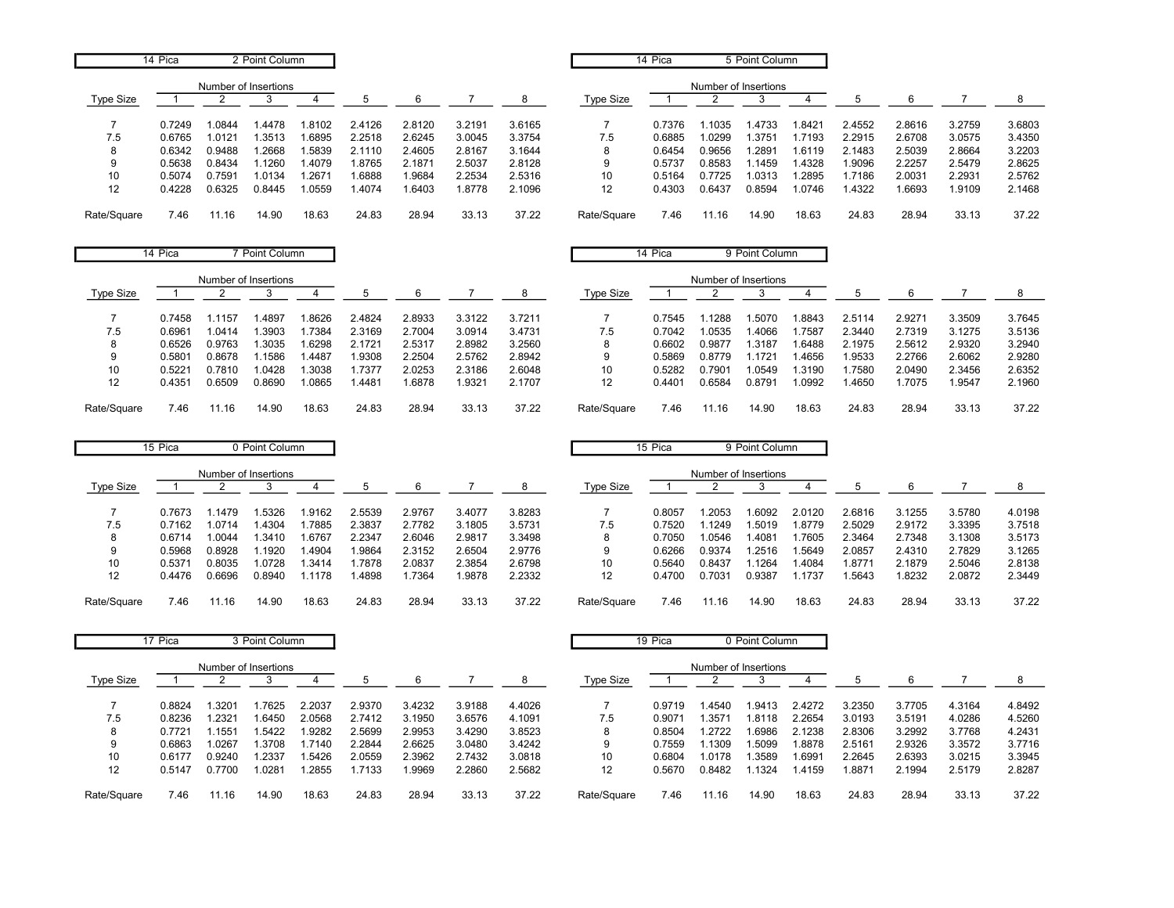|             | 14 Pica |                      | 2 Point Column |        |        |        |        |        |                  | 14 Pica |                      | 5 Point Column |        |        |        |        |        |
|-------------|---------|----------------------|----------------|--------|--------|--------|--------|--------|------------------|---------|----------------------|----------------|--------|--------|--------|--------|--------|
|             |         | Number of Insertions |                |        |        |        |        |        |                  |         | Number of Insertions |                |        |        |        |        |        |
| Type Size   |         |                      |                |        |        | 6      |        | 8      | <b>Type Size</b> |         |                      |                |        |        | 6      |        |        |
|             | 0.7249  | .0844                | .4478          | 1.8102 | 2.4126 | 2.8120 | 3.2191 | 3.6165 |                  | 0.7376  | 1035                 | 1.4733         | .8421  | 2.4552 | 2.8616 | 3.2759 | 3.6803 |
| 7.5         | 0.6765  | .0121                | .3513          | 1.6895 | 2.2518 | 2.6245 | 3.0045 | 3.3754 | 7.5              | 0.6885  | .0299                | .3751          | .7193  | 2.2915 | 2.6708 | 3.0575 | 3.4350 |
| 8           | 0.6342  | 0.9488               | .2668          | 1.5839 | 2.1110 | 2.4605 | 2.8167 | 3.1644 | ŏ                | 0.6454  | 0.9656               | .2891          | 1.6119 | 2.1483 | 2.5039 | 2.8664 | 3.2203 |
| 9           | 0.5638  | 0.8434               | .1260          | 1.4079 | 1.8765 | 2.1871 | 2.5037 | 2.8128 | 9                | 0.5737  | 0.8583               | .1459          | 1.4328 | 1.9096 | 2.2257 | 2.5479 | 2.8625 |
| 10          | 0.5074  | ).7591               | 1.0134         | .2671  | .6888  | .9684  | 2.2534 | 2.5316 | 10               | 0.5164  | 0.7725               | .0313          | .2895  | .7186  | 2.0031 | 2.2931 | 2.5762 |
| 12          | 0.4228  | 0.6325               | 0.8445         | 1.0559 | .4074  | .6403  | 1.8778 | 2.1096 | 12               | 0.4303  | 0.6437               | 0.8594         | 1.0746 | 1.4322 | .6693  | 1.9109 | 2.1468 |
| Rate/Square | 7.46    | 11.16                | 14.90          | 18.63  | 24.83  | 28.94  | 33.13  | 37.22  | Rate/Square      | 7.46    | 11.16                | 14.90          | 18.63  | 24.83  | 28.94  | 33.13  | 37.22  |

|             | 14 Pica |        | Point Column         |       |        |        |        |        |             | 14 Pica |                      | 9 Point Column |        |        |        |        |        |
|-------------|---------|--------|----------------------|-------|--------|--------|--------|--------|-------------|---------|----------------------|----------------|--------|--------|--------|--------|--------|
|             |         |        | Number of Insertions |       |        |        |        |        |             |         | Number of Insertions |                |        |        |        |        |        |
| Type Size   |         |        |                      |       | b.     | 6      |        | 8      | Type Size   |         |                      |                |        |        | 6      |        |        |
|             | 0.7458  | . 1157 | .4897                | .8626 | 2.4824 | 2.8933 | 3.3122 | 3.7211 |             | 0.7545  | 1288                 | .5070          | .8843  | 2.5114 | 2.9271 | 3.3509 | 3.7645 |
| 7.5         | 0.6961  | 1.0414 | .3903                | .7384 | 2.3169 | 2.7004 | 3.0914 | 3.4731 | 7.5         | 0.7042  | .0535                | 1.4066         | 1.7587 | 2.3440 | 2.7319 | 3.1275 | 3.5136 |
| 8           | 0.6526  | 0.9763 | .3035                | .6298 | 2.1721 | 2.5317 | 2.8982 | 3.2560 | 8           | 0.6602  | 0.9877               | 1.3187         | .6488  | 2.1975 | 2.5612 | 2.9320 | 3.2940 |
| 9           | 0.5801  | 0.8678 | 1.1586               | .4487 | .9308  | 2.2504 | 2.5762 | 2.8942 | 9           | 0.5869  | 0.8779               | 1.1721         | .4656  | 1.9533 | 2.2766 | 2.6062 | 2.9280 |
| 10          | 0.5221  | 0.7810 | .0428                | .3038 | .7377  | 2.0253 | 2.3186 | 2.6048 | 10          | 0.5282  | 0.7901               | 1.0549         | .3190  | .7580  | 2.0490 | 2.3456 | 2.6352 |
| 12          | 0.4351  | 0.6509 | 0.8690               | .0865 | .4481  | .6878  | .9321  | 2.1707 | 12          | 0.4401  | 0.6584               | 0.8791         | 1.0992 | 1.4650 | .7075  | 1.9547 | 2.1960 |
| Rate/Square | 7.46    | .16    | 14.90                | 18.63 | 24.83  | 28.94  | 33.13  | 37.22  | Rate/Square | 7.46    | 11.16                | 14.90          | 18.63  | 24.83  | 28.94  | 33.13  | 37.22  |

|                  | 15 Pica |        | 0 Point Column       |       |        |        |        |        |             | 15 Pica |                      | 9 Point Column |        |        |        |        |        |
|------------------|---------|--------|----------------------|-------|--------|--------|--------|--------|-------------|---------|----------------------|----------------|--------|--------|--------|--------|--------|
|                  |         |        | Number of Insertions |       |        |        |        |        |             |         | Number of Insertions |                |        |        |        |        |        |
| <b>Type Size</b> |         |        |                      |       |        |        |        |        | Type Size   |         |                      |                |        |        |        |        |        |
|                  | 0.7673  | 1479   | .5326                | .9162 | 2.5539 | 2.9767 | 3.4077 | 3.8283 |             | 0.8057  | .2053                | 1.6092         | 2.0120 | 2.6816 | 3.1255 | 3.5780 | 4.0198 |
| 7.5              | 0.7162  | 0714   | .4304                | .7885 | 2.3837 | 2.7782 | 3.1805 | 3.5731 | 7.5         | 0.7520  | 1249                 | .5019          | 1.8779 | 2.5029 | 2.9172 | 3.3395 | 3.7518 |
| 8                | 0.6714  | .0044  | .3410                | .6767 | 2.2347 | 2.6046 | 2.9817 | 3.3498 |             | 0.7050  | .0546                | .4081          | .7605  | 2.3464 | 2.7348 | 3.1308 | 3.5173 |
| 9                | 0.5968  | 0.8928 | .1920                | .4904 | .9864  | 2.3152 | 2.6504 | 2.9776 | 9           | 0.6266  | 0.9374               | .2516          | .5649  | 2.0857 | 2.4310 | 2.7829 | 3.1265 |
| 10               | 0.5371  | 0.8035 | .0728                | .3414 | .7878  | 2.0837 | 2.3854 | 2.6798 | 10          | 0.5640  | 0.8437               | .1264          | .4084  | .8771  | 2.1879 | 2.5046 | 2.8138 |
| 12               | 0.4476  | 0.6696 | 0.8940               | .1178 | .4898  | .7364  | .9878  | 2.2332 | 12          | 0.4700  | 0.7031               | 0.9387         | .1737  | .5643  | .8232  | 2.0872 | 2.3449 |
| Rate/Square      | 7.46    | 11.16  | 14.90                | 18.63 | 24.83  | 28.94  | 33.13  | 37.22  | Rate/Square | 7.46    | 1.16                 | 14.90          | 18.63  | 24.83  | 28.94  | 33.13  | 37.22  |

|                  | 17 Pica |        | 3 Point Column       |        |        |        |        |        |                  | 19 Pica |                      | 0 Point Column |        |        |        |        |        |
|------------------|---------|--------|----------------------|--------|--------|--------|--------|--------|------------------|---------|----------------------|----------------|--------|--------|--------|--------|--------|
|                  |         |        | Number of Insertions |        |        |        |        |        |                  |         | Number of Insertions |                |        |        |        |        |        |
| <b>Type Size</b> |         |        |                      |        |        |        |        |        | <b>Type Size</b> |         |                      |                |        |        | 6      |        |        |
|                  | 0.8824  | .3201  | .7625                | 2.2037 | 2.9370 | 3.4232 | 3.9188 | 4.4026 |                  | 0.9719  | .4540                | 1.9413         | 2.4272 | 3.2350 | 3.7705 | 4.3164 | 4.8492 |
| 7.5              | 0.8236  | .2321  | .6450                | 2.0568 | 2.7412 | 3.1950 | 3.6576 | 4.1091 | 7.5              | 0.9071  | .3571                | 1.8118         | 2.2654 | 3.0193 | 3.5191 | 4.0286 | 4.5260 |
|                  | 0.7721  | .1551  | .5422                | 1.9282 | 2.5699 | 2.9953 | 3.4290 | 3.8523 | 8                | 0.8504  | .2722                | 1.6986         | 2.1238 | 2.8306 | 3.2992 | 3.7768 | 4.2431 |
| 9                | 0.6863  | .0267  | .3708                | 1.7140 | 2.2844 | 2.6625 | 3.0480 | 3.4242 | 9                | 0.7559  | .1309                | 1.5099         | .8878  | 2.5161 | 2.9326 | 3.3572 | 3.7716 |
| 10               | 0.6177  | 0.9240 | .2337                | 1.5426 | 2.0559 | 2.3962 | 2.7432 | 3.0818 | 10               | 0.6804  | .0178                | .3589          | .6991  | 2.2645 | 2.6393 | 3.0215 | 3.3945 |
| 12               | 0.5147  | 0.7700 | .0281                | 1.2855 | 1.7133 | 9969.  | 2.2860 | 2.5682 | 12               | 0.5670  | 0.8482               | .1324          | 1.4159 | .8871  | 2.1994 | 2.5179 | 2.8287 |
| Rate/Square      | 7.46    | 11.16  | 14.90                | 18.63  | 24.83  | 28.94  | 33.13  | 37.22  | Rate/Square      | 7.46    | 11.16                | 14.90          | 18.63  | 24.83  | 28.94  | 33.13  | 37.22  |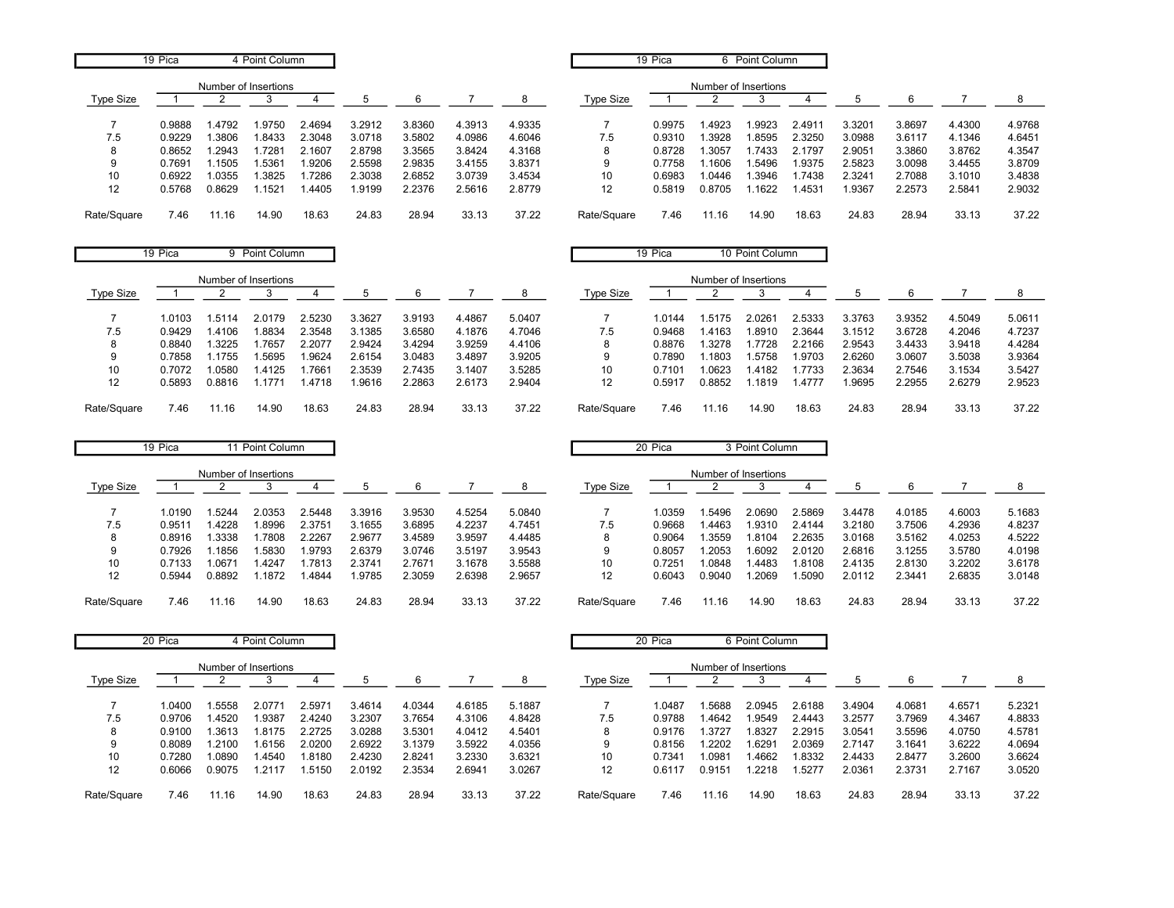|             | 19 Pica |        | 4 Point Column       |        |        |        |        |        |                  | 19 Pica |                      | 6 Point Column |        |        |        |        |        |
|-------------|---------|--------|----------------------|--------|--------|--------|--------|--------|------------------|---------|----------------------|----------------|--------|--------|--------|--------|--------|
| Type Size   |         |        | Number of Insertions |        |        | h      |        | 8      | <b>Type Size</b> |         | Number of Insertions |                |        |        | 6      |        | 8      |
|             | 0.9888  | 4792   | .9750                | 2.4694 | 3.2912 | 3.8360 | 4.3913 | 4.9335 |                  | 0.9975  | .4923                | 1.9923         | 2.4911 | 3.3201 | 3.8697 | 4.4300 | 4.9768 |
| 7.5         | 0.9229  | .3806  | .8433                | 2.3048 | 3.0718 | 3.5802 | 4.0986 | 4.6046 | 7.5              | 0.9310  | .3928                | 1.8595         | 2.3250 | 3.0988 | 3.6117 | 4.1346 | 4.6451 |
| 8           | 0.8652  | 1.2943 | .7281                | 2.1607 | 2.8798 | 3.3565 | 3.8424 | 4.3168 | 8                | 0.8728  | .3057                | 1.7433         | 2.1797 | 2.9051 | 3.3860 | 3.8762 | 4.3547 |
| 9           | 0.7691  | .1505  | .5361                | .9206  | 2.5598 | 2.9835 | 3.4155 | 3.8371 | 9                | 0.7758  | .1606                | 1.5496         | 1.9375 | 2.5823 | 3.0098 | 3.4455 | 3.8709 |
| 10          | 0.6922  | 1.0355 | .3825                | .7286  | 2.3038 | 2.6852 | 3.0739 | 3.4534 | 10               | 0.6983  | .0446                | 1.3946         | .7438  | 2.3241 | 2.7088 | 3.1010 | 3.4838 |
| 12          | 0.5768  | 0.8629 | .1521                | .4405  | .9199  | 2.2376 | 2.5616 | 2.8779 | 12               | 0.5819  | 0.8705               | .1622          | .4531  | 1.9367 | 2.2573 | 2.5841 | 2.9032 |
| Rate/Square | 7.46    | 11.16  | 14.90                | 18.63  | 24.83  | 28.94  | 33.13  | 37.22  | Rate/Square      | 7.46    | 11.16                | 14.90          | 18.63  | 24.83  | 28.94  | 33.13  | 37.22  |

|             | 19 Pica |        | 9 Point Column       |        |        |        |        |        |             | 19 Pica |                      | 10 Point Column |        |        |        |        |        |
|-------------|---------|--------|----------------------|--------|--------|--------|--------|--------|-------------|---------|----------------------|-----------------|--------|--------|--------|--------|--------|
|             |         |        | Number of Insertions |        |        |        |        |        |             |         | Number of Insertions |                 |        |        |        |        |        |
| Type Size   |         |        |                      |        |        | 6      |        | 8      | Type Size   |         |                      |                 |        |        |        |        |        |
|             | 1.0103  | 1.5114 | 2.0179               | 2.5230 | 3.3627 | 3.9193 | 4.4867 | 5.0407 |             | .0144   | 1.5175               | 2.0261          | 2.5333 | 3.3763 | 3.9352 | 4.5049 | 5.0611 |
| 7.5         | 0.9429  | .4106  | 1.8834               | 2.3548 | 3.1385 | 3.6580 | 4.1876 | 4.7046 | 7.5         | 0.9468  | 1.4163               | 1.8910          | 2.3644 | 3.1512 | 3.6728 | 4.2046 | 4.7237 |
| 8           | 0.8840  | .3225  | .7657                | 2.2077 | 2.9424 | 3.4294 | 3.9259 | 4.4106 | 8           | 0.8876  | .3278                | .7728           | 2.2166 | 2.9543 | 3.4433 | 3.9418 | 4.4284 |
| 9           | 0.7858  | .1755  | 1.5695               | 9624.  | 2.6154 | 3.0483 | 3.4897 | 3.9205 | 9           | 0.7890  | .1803                | .5758           | .9703  | 2.6260 | 3.0607 | 3.5038 | 3.9364 |
| 10          | 0.7072  | 1.0580 | 1.4125               | .7661  | 2.3539 | 2.7435 | 3.1407 | 3.5285 | 10          | 0.7101  | 1.0623               | .4182           | .7733  | 2.3634 | 2.7546 | 3.1534 | 3.5427 |
| 12          | 0.5893  | 0.8816 | 1.1771               | 1.4718 | 1.9616 | 2.2863 | 2.6173 | 2.9404 | 12          | 0.5917  | 0.8852               | .1819           | .4777  | 9695.  | 2.2955 | 2.6279 | 2.9523 |
| Rate/Square | 7.46    | 1.16   | 14.90                | 18.63  | 24.83  | 28.94  | 33.13  | 37.22  | Rate/Square | 7.46    | . 1.16               | 14.90           | 18.63  | 24.83  | 28.94  | 33.13  | 37.22  |

|             | 19 Pica |        | 11 Point Column      |        |        |        |        |        |             | 20 Pica |                      | 3 Point Column |        |        |        |        |        |
|-------------|---------|--------|----------------------|--------|--------|--------|--------|--------|-------------|---------|----------------------|----------------|--------|--------|--------|--------|--------|
|             |         |        | Number of Insertions |        |        |        |        |        |             |         | Number of Insertions |                |        |        |        |        |        |
| Type Size   |         |        |                      |        |        | -6     |        |        | Type Size   |         |                      |                |        |        |        |        |        |
|             | 1.0190  | .5244  | 2.0353               | 2.5448 | 3.3916 | 3.9530 | 4.5254 | 5.0840 |             | 1.0359  | .5496                | 2.0690         | 2.5869 | 3.4478 | 4.0185 | 4.6003 | 5.1683 |
| 7.5         | 0.9511  | .4228  | 8996.                | 2.3751 | 3.1655 | 3.6895 | 4.2237 | 4.7451 | 7.5         | 0.9668  | .4463                | 1.9310         | 2.4144 | 3.2180 | 3.7506 | 4.2936 | 4.8237 |
| 8           | 0.8916  | .3338  | .7808                | 2.2267 | 2.9677 | 3.4589 | 3.9597 | 4.4485 |             | 0.9064  | .3559                | 1.8104         | 2.2635 | 3.0168 | 3.5162 | 4.0253 | 4.5222 |
| 9           | 0.7926  | .1856  | .5830                | .9793  | 2.6379 | 3.0746 | 3.5197 | 3.9543 | g           | 0.8057  | .2053                | 1.6092         | 2.0120 | 2.6816 | 3.1255 | 3.5780 | 4.0198 |
| 10          | 0.7133  | .0671  | 1.4247               | .7813  | 2.3741 | 2.7671 | 3.1678 | 3.5588 | 10          | 0.7251  | .0848                | 1.4483         | .8108  | 2.4135 | 2.8130 | 3.2202 | 3.6178 |
| 12          | 0.5944  | 0.8892 | .1872                | .4844  | .9785  | 2.3059 | 2.6398 | 2.9657 | 12          | 0.6043  | 0.9040               | 1.2069         | .5090  | 2.0112 | 2.3441 | 2.6835 | 3.0148 |
| Rate/Square | 7.46    | 11.16  | 14.90                | 18.63  | 24.83  | 28.94  | 33.13  | 37.22  | Rate/Square | 7.46    | 11.16                | 14.90          | 18.63  | 24.83  | 28.94  | 33.13  | 37.22  |

|             | 20 Pica |                      | 4 Point Column |        |        |        |        |        |                  | 20 Pica |                      | 6 Point Column |        |        |        |        |        |
|-------------|---------|----------------------|----------------|--------|--------|--------|--------|--------|------------------|---------|----------------------|----------------|--------|--------|--------|--------|--------|
|             |         | Number of Insertions |                |        |        |        |        |        |                  |         | Number of Insertions |                |        |        |        |        |        |
| Type Size   |         |                      |                |        |        | 6      |        |        | <b>Type Size</b> |         |                      |                |        |        | ĥ      |        |        |
|             | 1.0400  | .5558                | 2.0771         | 2.5971 | 3.4614 | 4.0344 | 4.6185 | 5.1887 |                  | 1.0487  | .5688                | 2.0945         | 2.6188 | 3.4904 | 4.0681 | 4.6571 | 5.2321 |
| 7.5         | 0.9706  | .4520                | .9387          | 2.4240 | 3.2307 | 3.7654 | 4.3106 | 4.8428 | 7.5              | 0.9788  | .4642                | .9549          | 2.4443 | 3.2577 | 3.7969 | 4.3467 | 4.8833 |
| 8           | 0.9100  | .3613                | .8175          | 2.2725 | 3.0288 | 3.5301 | 4.0412 | 4.5401 | 8                | 0.9176  | .3727                | 1.8327         | 2.2915 | 3.0541 | 3.5596 | 4.0750 | 4.5781 |
| 9           | 0.8089  | .2100                | 1.6156         | 2.0200 | 2.6922 | 3.1379 | 3.5922 | 4.0356 | 9                | 0.8156  | .2202                | .6291          | 2.0369 | 2.7147 | 3.1641 | 3.6222 | 4.0694 |
| 10          | 0.7280  | 0.0890               | .4540          | 1.8180 | 2.4230 | 2.8241 | 3.2330 | 3.6321 | 10               | 0.7341  | .0981                | .4662          | 1.8332 | 2.4433 | 2.8477 | 3.2600 | 3.6624 |
| 12          | 0.6066  | 0.9075               | .2117          | 1.5150 | 2.0192 | 2.3534 | 2.6941 | 3.0267 | 12               | 0.6117  | 0.9151               | .2218          | 1.5277 | 2.0361 | 2.3731 | 2.7167 | 3.0520 |
| Rate/Square | 7.46    | 11.16                | 14.90          | 18.63  | 24.83  | 28.94  | 33.13  | 37.22  | Rate/Square      | 7.46    | 11.16                | 14.90          | 18.63  | 24.83  | 28.94  | 33.13  | 37.22  |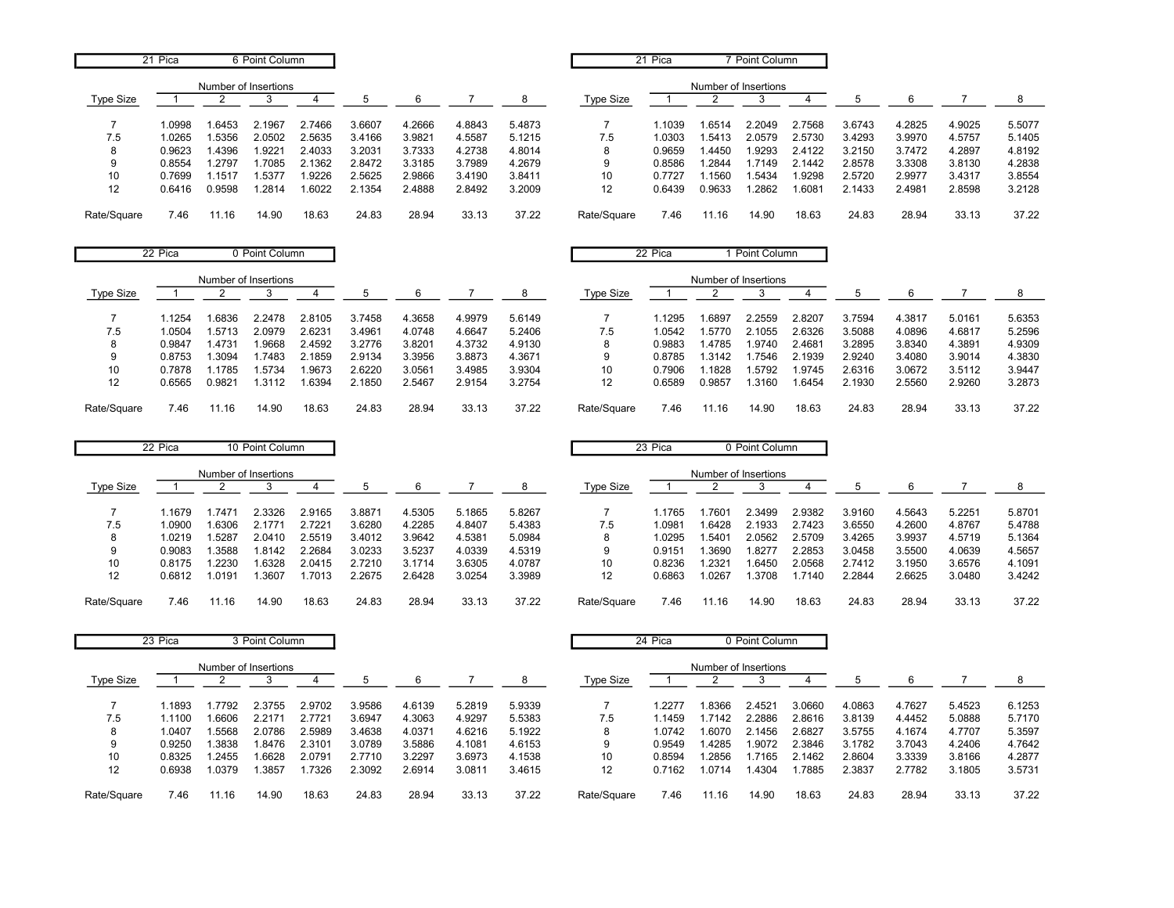|                   | 21 Pica |        | 6 Point Column       |        |        |        |        |        |             | 21 Pica |                      | Point Column |        |        |        |        |        |
|-------------------|---------|--------|----------------------|--------|--------|--------|--------|--------|-------------|---------|----------------------|--------------|--------|--------|--------|--------|--------|
|                   |         |        | Number of Insertions |        |        |        |        |        |             |         | Number of Insertions |              |        |        |        |        |        |
| Type Size         |         |        |                      |        | b      | 6      |        | 8      | Type Size   |         |                      |              |        |        |        |        |        |
|                   | 1.0998  | .6453  | 2.1967               | 2.7466 | 3.6607 | 4.2666 | 4.8843 | 5.4873 |             | .1039   | .6514                | 2.2049       | 2.7568 | 3.6743 | 4.2825 | 4.9025 | 5.5077 |
| 7.5               | 1.0265  | .5356  | 2.0502               | 2.5635 | 3.4166 | 3.9821 | 4.5587 | 5.1215 | 7.5         | 1.0303  | .5413                | 2.0579       | 2.5730 | 3.4293 | 3.9970 | 4.5757 | 5.1405 |
| 8                 | 0.9623  | .4396  | .9221                | 2.4033 | 3.2031 | 3.7333 | 4.2738 | 4.8014 | 8           | 0.9659  | .4450                | 1.9293       | 2.4122 | 3.2150 | 3.7472 | 4.2897 | 4.8192 |
| 9                 | 0.8554  | .2797  | 1.7085               | 2.1362 | 2.8472 | 3.3185 | 3.7989 | 4.2679 | g           | 0.8586  | .2844                | 1.7149       | 2.1442 | 2.8578 | 3.3308 | 3.8130 | 4.2838 |
| 10                | 0.7699  | .1517  | .5377                | 1.9226 | 2.5625 | 2.9866 | 3.4190 | 3.8411 | 10          | 0.7727  | .1560                | 1.5434       | .9298  | 2.5720 | 2.9977 | 3.4317 | 3.8554 |
| $12 \overline{ }$ | 0.6416  | 0.9598 | .2814                | .6022  | 2.1354 | 2.4888 | 2.8492 | 3.2009 | 12          | 0.6439  | 0.9633               | 1.2862       | .6081  | 2.1433 | 2.4981 | 2.8598 | 3.2128 |
| Rate/Square       | 7.46    | 11.16  | 14.90                | 18.63  | 24.83  | 28.94  | 33.13  | 37.22  | Rate/Square | 7.46    |                      | 14.90        | 18.63  | 24.83  | 28.94  | 33.13  | 37.22  |

|             | 22 Pica |        | 0 Point Column       |        |        |        |        |        |             | 22 Pica |                      | Point Column |        |        |        |        |        |
|-------------|---------|--------|----------------------|--------|--------|--------|--------|--------|-------------|---------|----------------------|--------------|--------|--------|--------|--------|--------|
|             |         |        | Number of Insertions |        |        |        |        |        |             |         | Number of Insertions |              |        |        |        |        |        |
| Type Size   |         |        |                      |        |        | 6      |        | 8      | Type Size   |         |                      |              |        |        |        |        |        |
|             | .1254   | .6836  | 2.2478               | 2.8105 | 3.7458 | 4.3658 | 4.9979 | 5.6149 |             | .1295   | 1.6897               | 2.2559       | 2.8207 | 3.7594 | 4.3817 | 5.0161 | 5.6353 |
| 7.5         | .0504   | .5713  | 2.0979               | 2.6231 | 3.4961 | 4.0748 | 4.6647 | 5.2406 | 7.5         | .0542   | .5770                | 2.1055       | 2.6326 | 3.5088 | 4.0896 | 4.6817 | 5.2596 |
| 8           | 0.9847  | i 4731 | 1.9668               | 2.4592 | 3.2776 | 3.8201 | 4.3732 | 4.9130 | 8           | 0.9883  | 4785                 | 1.9740       | 2.4681 | 3.2895 | 3.8340 | 4.3891 | 4.9309 |
| 9           | 0.8753  | .3094  | .7483                | 2.1859 | 2.9134 | 3.3956 | 3.8873 | 4.3671 | 9           | 0.8785  | .3142                | .7546        | 2.1939 | 2.9240 | 3.4080 | 3.9014 | 4.3830 |
| 10          | 0.7878  | .1785  | 1.5734               | .9673  | 2.6220 | 3.0561 | 3.4985 | 3.9304 | 10          | 0.7906  | .1828                | .5792        | .9745  | 2.6316 | 3.0672 | 3.5112 | 3.9447 |
| 12          | 0.6565  | 0.9821 | 1.3112               | .6394  | 2.1850 | 2.5467 | 2.9154 | 3.2754 | 12          | 0.6589  | 0.9857               | .3160        | .6454  | 2.1930 | 2.5560 | 2.9260 | 3.2873 |
| Rate/Square | 7.46    | 1.16   | 14.90                | 18.63  | 24.83  | 28.94  | 33.13  | 37.22  | Rate/Square | 7.46    | . 1.16               | 14.90        | 18.63  | 24.83  | 28.94  | 33.13  | 37.22  |

|             | 22 Pica |       | 10 Point Column      |        |        |        |        |        |             | 23 Pica |                      | 0 Point Column |        |        |        |        |        |
|-------------|---------|-------|----------------------|--------|--------|--------|--------|--------|-------------|---------|----------------------|----------------|--------|--------|--------|--------|--------|
|             |         |       | Number of Insertions |        |        |        |        |        |             |         | Number of Insertions |                |        |        |        |        |        |
| Type Size   |         |       |                      |        |        | 6      |        | 8      | Type Size   |         |                      |                |        |        |        |        |        |
|             | .1679   | 7471  | 2.3326               | 2.9165 | 3.8871 | 4.5305 | 5.1865 | 5.8267 |             | 1.1765  | .760 <sup>-</sup>    | 2.3499         | 2.9382 | 3.9160 | 4.5643 | 5.2251 | 5.8701 |
| 7.5         | 0900.   | .6306 | 2.177'               | 2.7221 | 3.6280 | 4.2285 | 4.8407 | 5.4383 | 7.5         | 1.0981  | .6428                | 2.1933         | 2.7423 | 3.6550 | 4.2600 | 4.8767 | 5.4788 |
| 8           | 1.0219  | .528  | 2.0410               | 2.5519 | 3.4012 | 3.9642 | 4.5381 | 5.0984 | 8           | 1.0295  | .5401                | 2.0562         | 2.5709 | 3.4265 | 3.9937 | 4.5719 | 5.1364 |
| 9           | 0.9083  | .3588 | .8142                | 2.2684 | 3.0233 | 3.5237 | 4.0339 | 4.5319 | 9           | 0.9151  | .3690                | 1.8277         | 2.2853 | 3.0458 | 3.5500 | 4.0639 | 4.5657 |
| 10          | 0.8175  | .2230 | .6328                | 2.0415 | 2.7210 | 3.1714 | 3.6305 | 4.0787 | 10          | 0.8236  | .2321                | 1.6450         | 2.0568 | 2.7412 | 3.1950 | 3.6576 | 4.1091 |
| 12          | 0.6812  | .0191 | .3607                | .7013  | 2.2675 | 2.6428 | 3.0254 | 3.3989 | 12          | 0.6863  | .0267                | 1.3708         | .7140  | 2.2844 | 2.6625 | 3.0480 | 3.4242 |
| Rate/Square | 7.46    | .1.16 | 14.90                | 18.63  | 24.83  | 28.94  | 33.13  | 37.22  | Rate/Square | 7.46    | 1.16                 | 14.90          | 18.63  | 24.83  | 28.94  | 33.13  | 37.22  |

|             | 23 Pica |                      | 3 Point Column |        |        |        |        |        |                  | 24 Pica |                      | 0 Point Column |        |        |        |        |        |
|-------------|---------|----------------------|----------------|--------|--------|--------|--------|--------|------------------|---------|----------------------|----------------|--------|--------|--------|--------|--------|
|             |         | Number of Insertions |                |        |        |        |        |        |                  |         | Number of Insertions |                |        |        |        |        |        |
| Type Size   |         |                      |                |        |        | ĥ      |        |        | <b>Type Size</b> |         |                      |                |        |        | 6      |        |        |
|             | .1893   | .7792                | 2.3755         | 2.9702 | 3.9586 | 4.6139 | 5.2819 | 5.9339 |                  | 1.2277  | .8366                | 2.4521         | 3.0660 | 4.0863 | 4.7627 | 5.4523 | 6.1253 |
| 7.5         | .1100   | .6606                | 2.2171         | 2.7721 | 3.6947 | 4.3063 | 4.9297 | 5.5383 | 7.5              | 1.1459  | .7142                | 2.2886         | 2.8616 | 3.8139 | 4.4452 | 5.0888 | 5.7170 |
| 8           | 1.0407  | .5568                | 2.0786         | 2.5989 | 3.4638 | 4.0371 | 4.6216 | 5.1922 | 8                | 1.0742  | .6070                | 2.1456         | 2.6827 | 3.5755 | 4.1674 | 4.7707 | 5.3597 |
| 9           | 0.9250  | .3838                | .8476          | 2.3101 | 3.0789 | 3.5886 | 4.1081 | 4.6153 | 9                | 0.9549  | .4285                | .9072          | 2.3846 | 3.1782 | 3.7043 | 4.2406 | 4.7642 |
| 10          | 0.8325  | .2455                | .6628          | 2.0791 | 2.7710 | 3.2297 | 3.6973 | 4.1538 | 10               | 0.8594  | .2856                | .7165          | 2.1462 | 2.8604 | 3.3339 | 3.8166 | 4.2877 |
| 12          | 0.6938  | .0379                | .3857          | 1.7326 | 2.3092 | 2.6914 | 3.0811 | 3.4615 | 12               | 0.7162  | 1.0714               | .4304          | 1.7885 | 2.3837 | 2.7782 | 3.1805 | 3.5731 |
| Rate/Square | 7.46    | 11.16                | 14.90          | 18.63  | 24.83  | 28.94  | 33.13  | 37.22  | Rate/Square      | 7.46    | 11.16                | 14.90          | 18.63  | 24.83  | 28.94  | 33.13  | 37.22  |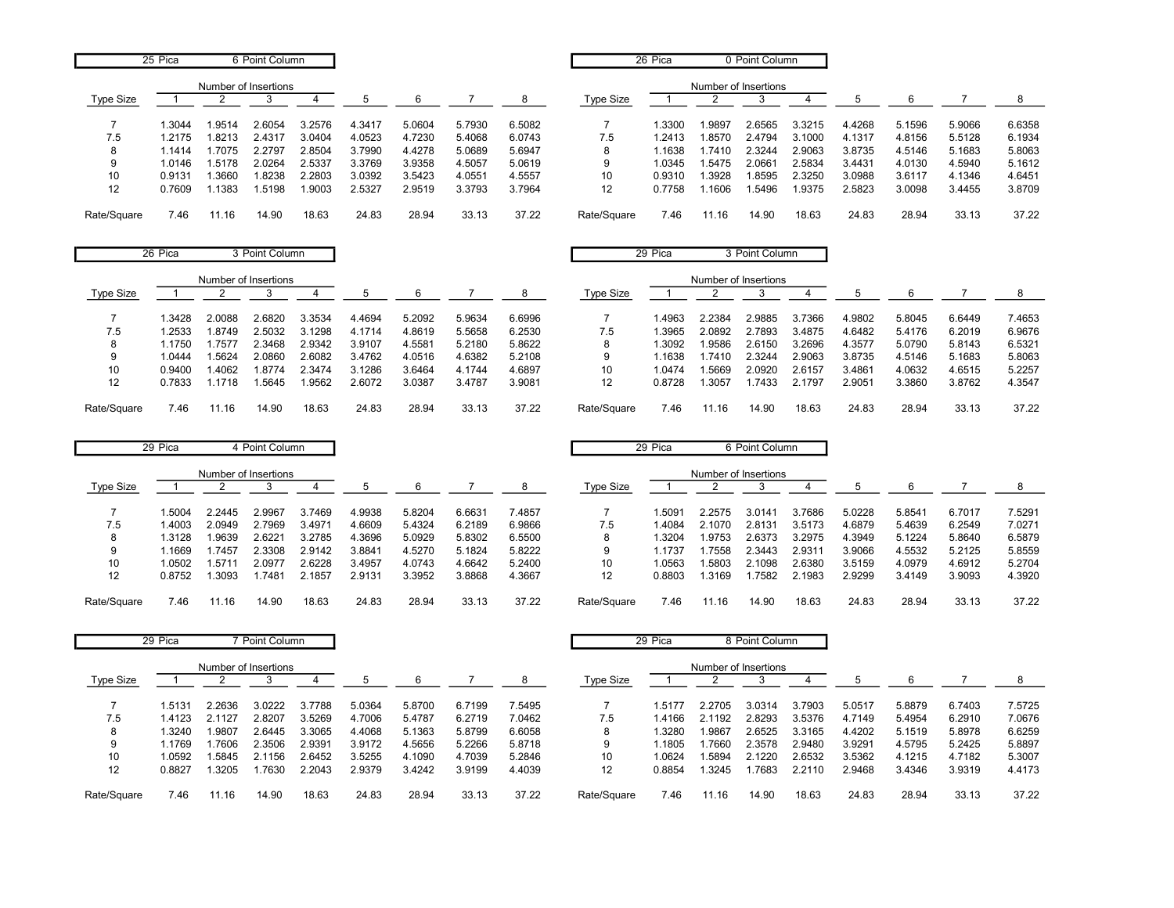|             | 25 Pica |                      | 6 Point Column |        |        |        |        |        |                  | 26 Pica |                      | 0 Point Column |        |        |        |        |        |
|-------------|---------|----------------------|----------------|--------|--------|--------|--------|--------|------------------|---------|----------------------|----------------|--------|--------|--------|--------|--------|
|             |         | Number of Insertions |                |        |        |        |        |        |                  |         | Number of Insertions |                |        |        |        |        |        |
| Type Size   |         |                      |                |        |        |        |        |        | <b>Type Size</b> |         |                      |                |        |        |        |        |        |
|             | 1.3044  | .9514                | 2.6054         | 3.2576 | 4.3417 | 5.0604 | 5.7930 | 6.5082 |                  | 1.3300  | .9897                | 2.6565         | 3.3215 | 4.4268 | 5.1596 | 5.9066 | 6.6358 |
| 7.5         | 1.2175  | .8213                | 2.4317         | 3.0404 | 4.0523 | 4.7230 | 5.4068 | 6.0743 | 7.5              | 1.2413  | .8570                | 2.4794         | 3.1000 | 4.1317 | 4.8156 | 5.5128 | 6.1934 |
| 8           | 1.1414  | .7075                | 2.2797         | 2.8504 | 3.7990 | 4.4278 | 5.0689 | 5.6947 | 8                | 1.1638  | 7410                 | 2.3244         | 2.9063 | 3.8735 | 4.5146 | 5.1683 | 5.8063 |
| 9           | 1.0146  | 1.5178               | 2.0264         | 2.5337 | 3.3769 | 3.9358 | 4.5057 | 5.0619 | 9                | 1.0345  | .5475                | 2.066'         | 2.5834 | 3.4431 | 4.0130 | 4.5940 | 5.1612 |
| 10          | 0.9131  | .3660                | .8238          | 2.2803 | 3.0392 | 3.5423 | 4.0551 | 4.5557 | 10               | 0.9310  | 3928                 | .8595          | 2.3250 | 3.0988 | 3.6117 | 4.1346 | 4.6451 |
| 12          | 0.7609  | .1383                | .5198          | .9003  | 2.5327 | 2.9519 | 3.3793 | 3.7964 | 12               | 0.7758  | .1606                | .5496          | .9375  | 2.5823 | 3.0098 | 3.4455 | 3.8709 |
| Rate/Square | 7.46    | 11.16                | 14.90          | 18.63  | 24.83  | 28.94  | 33.13  | 37.22  | Rate/Square      | 7.46    | 11.16                | 14.90          | 18.63  | 24.83  | 28.94  | 33.13  | 37.22  |

|             | 26 Pica |        | 3 Point Column       |        |        |        |        |        |             | 29 Pica |                      | 3 Point Column |        |        |        |        |        |
|-------------|---------|--------|----------------------|--------|--------|--------|--------|--------|-------------|---------|----------------------|----------------|--------|--------|--------|--------|--------|
|             |         |        | Number of Insertions |        |        |        |        |        |             |         | Number of Insertions |                |        |        |        |        |        |
| Type Size   |         |        |                      |        |        | 6      |        | 8      | Type Size   |         |                      |                |        |        |        |        |        |
|             | .3428   | 2.0088 | 2.6820               | 3.3534 | 4.4694 | 5.2092 | 5.9634 | 6.6996 |             | .4963   | 2.2384               | 2.9885         | 3.7366 | 4.9802 | 5.8045 | 6.6449 | 7.4653 |
| 7.5         | .2533   | 1.8749 | 2.5032               | 3.1298 | 4.1714 | 4.8619 | 5.5658 | 6.2530 | 7.5         | .3965   | 2.0892               | 2.7893         | 3.4875 | 4.6482 | 5.4176 | 6.2019 | 6.9676 |
| 8           | 1.1750  | .7577  | 2.3468               | 2.9342 | 3.9107 | 4.5581 | 5.2180 | 5.8622 | 8           | .3092   | .9586                | 2.6150         | 3.2696 | 4.3577 | 5.0790 | 5.8143 | 6.5321 |
| 9           | .0444   | .5624  | 2.0860               | 2.6082 | 3.4762 | 4.0516 | 4.6382 | 5.2108 | 9           | .1638   | .7410                | 2.3244         | 2.9063 | 3.8735 | 4.5146 | 5.1683 | 5.8063 |
| 10          | 0.9400  | .4062  | 1.8774               | 2.3474 | 3.1286 | 3.6464 | 4.1744 | 4.6897 | 10          | 1.0474  | .5669                | 2.0920         | 2.6157 | 3.4861 | 4.0632 | 4.6515 | 5.2257 |
| 12          | 0.7833  | .1718  | 1.5645               | .9562  | 2.6072 | 3.0387 | 3.4787 | 3.9081 | 12          | 0.8728  | .3057                | .7433          | 2.1797 | 2.9051 | 3.3860 | 3.8762 | 4.3547 |
| Rate/Square | 7.46    | 1.16   | 14.90                | 18.63  | 24.83  | 28.94  | 33.13  | 37.22  | Rate/Square | 7.46    | . 1.16               | 14.90          | 18.63  | 24.83  | 28.94  | 33.13  | 37.22  |

|             | 29 Pica |        | 4 Point Column       |        |        |        |        |        |             | 29 Pica |                      | 6 Point Column |        |        |        |        |        |
|-------------|---------|--------|----------------------|--------|--------|--------|--------|--------|-------------|---------|----------------------|----------------|--------|--------|--------|--------|--------|
|             |         |        | Number of Insertions |        |        |        |        |        |             |         | Number of Insertions |                |        |        |        |        |        |
| Type Size   |         |        |                      |        |        |        |        | 8      | Type Size   |         |                      |                |        |        |        |        |        |
|             | .5004   | 2.2445 | 2.9967               | 3.7469 | 4.9938 | 5.8204 | 6.6631 | 7.4857 |             | .5091   | 2.2575               | 3.0141         | 3.7686 | 5.0228 | 5.8541 | 6.7017 | 7.5291 |
| 7.5         | .4003   | 2.0949 | 2.7969               | 3.4971 | 4.6609 | 5.4324 | 6.2189 | 6.9866 | 7.5         | 1.4084  | 2.1070               | 2.8131         | 3.5173 | 4.6879 | 5.4639 | 6.2549 | 7.0271 |
| 8           | .3128   | .9639  | 2.6221               | 3.2785 | 4.3696 | 5.0929 | 5.8302 | 6.5500 | 8           | 1.3204  | .9753                | 2.6373         | 3.2975 | 4.3949 | 5.1224 | 5.8640 | 6.5879 |
| 9           | .1669   | .7457  | 2.3308               | 2.9142 | 3.8841 | 4.5270 | 5.1824 | 5.8222 | 9           | 1.1737  | .7558                | 2.3443         | 2.9311 | 3.9066 | 4.5532 | 5.2125 | 5.8559 |
| 10          | 1.0502  | .5711  | 2.0977               | 2.6228 | 3.4957 | 4.0743 | 4.6642 | 5.2400 | 10          | 1.0563  | .5803                | 2.1098         | 2.6380 | 3.5159 | 4.0979 | 4.6912 | 5.2704 |
| 12          | 0.8752  | .3093  | .748'                | 2.1857 | 2.9131 | 3.3952 | 3.8868 | 4.3667 | 12          | 0.8803  | .3169                | 1.7582         | 2.1983 | 2.9299 | 3.4149 | 3.9093 | 4.3920 |
| Rate/Square | 7.46    | 1.16   | 14.90                | 18.63  | 24.83  | 28.94  | 33.13  | 37.22  | Rate/Square | 7.46    | 1.16                 | 14.90          | 18.63  | 24.83  | 28.94  | 33.13  | 37.22  |

|             | 29 Pica |                      | 7 Point Column |        |        |        |        |        |                  | 29 Pica |                      | 8 Point Column |        |        |        |        |        |
|-------------|---------|----------------------|----------------|--------|--------|--------|--------|--------|------------------|---------|----------------------|----------------|--------|--------|--------|--------|--------|
|             |         | Number of Insertions |                |        |        |        |        |        |                  |         | Number of Insertions |                |        |        |        |        |        |
| Type Size   |         |                      |                |        |        | ĥ      |        |        | <b>Type Size</b> |         |                      |                |        |        | 6      |        |        |
|             | 1.5131  | 2.2636               | 3.0222         | 3.7788 | 5.0364 | 5.8700 | 6.7199 | 7.5495 |                  | 1.5177  | 2.2705               | 3.0314         | 3.7903 | 5.0517 | 5.8879 | 6.7403 | 7.5725 |
| 7.5         | 1.4123  | 2.1127               | 2.8207         | 3.5269 | 4.7006 | 5.4787 | 6.2719 | 7.0462 | 7.5              | 1.4166  | 2.1192               | 2.8293         | 3.5376 | 4.7149 | 5.4954 | 6.2910 | 7.0676 |
| 8           | .3240   | .9807                | 2.6445         | 3.3065 | 4.4068 | 5.1363 | 5.8799 | 6.6058 | 8                | 1.3280  | .9867                | 2.6525         | 3.3165 | 4.4202 | 5.1519 | 5.8978 | 6.6259 |
| 9           | .1769   | .7606                | 2.3506         | 2.9391 | 3.9172 | 4.5656 | 5.2266 | 5.8718 | 9                | 1.1805  | .7660                | 2.3578         | 2.9480 | 3.9291 | 4.5795 | 5.2425 | 5.8897 |
| 10          | 1.0592  | .5845                | 2.1156         | 2.6452 | 3.5255 | 4.1090 | 4.7039 | 5.2846 | 10               | 1.0624  | .5894                | 2.1220         | 2.6532 | 3.5362 | 4.1215 | 4.7182 | 5.3007 |
| 12          | 0.8827  | .3205                | .7630          | 2.2043 | 2.9379 | 3.4242 | 3.9199 | 4.4039 | 12               | 0.8854  | .3245                | .7683          | 2.2110 | 2.9468 | 3.4346 | 3.9319 | 4.4173 |
| Rate/Square | 7.46    | 11.16                | 14.90          | 18.63  | 24.83  | 28.94  | 33.13  | 37.22  | Rate/Square      | 7.46    | 11.16                | 14.90          | 18.63  | 24.83  | 28.94  | 33.13  | 37.22  |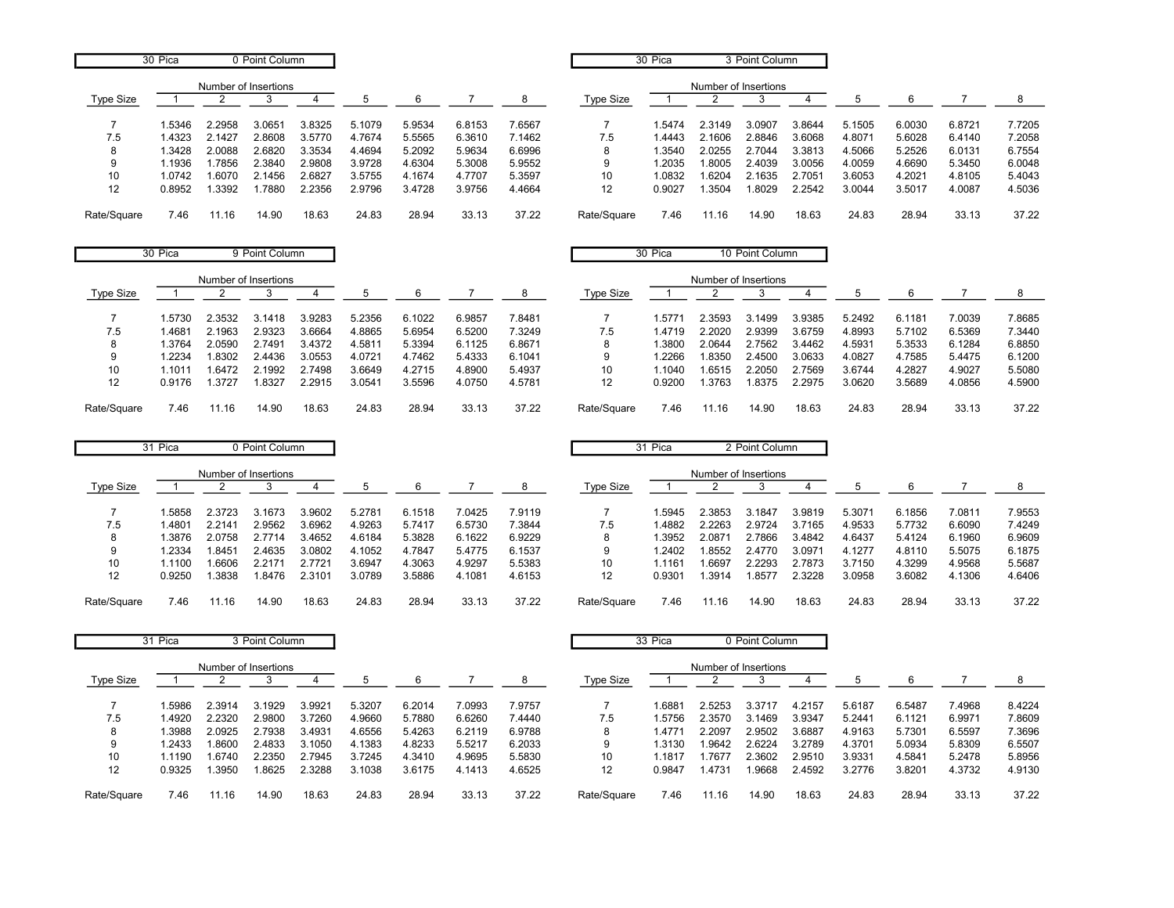|             | 30 Pica |                      | 0 Point Column |        |        |        |        |        |                  | 30 Pica |                      | 3 Point Column |        |        |        |        |        |
|-------------|---------|----------------------|----------------|--------|--------|--------|--------|--------|------------------|---------|----------------------|----------------|--------|--------|--------|--------|--------|
|             |         | Number of Insertions |                |        |        |        |        |        |                  |         | Number of Insertions |                |        |        |        |        |        |
| Type Size   |         |                      |                |        |        |        |        |        | <b>Type Size</b> |         |                      |                |        |        |        |        |        |
|             | 1.5346  | 2.2958               | 3.0651         | 3.8325 | 5.1079 | 5.9534 | 6.8153 | 7.6567 |                  | 1.5474  | 2.3149               | 3.0907         | 3.8644 | 5.1505 | 6.0030 | 6.8721 | 7.7205 |
| 7.5         | 1.4323  | 2.1427               | 2.8608         | 3.5770 | 4.7674 | 5.5565 | 6.3610 | 1462.  | 7.5              | 1.4443  | 2.1606               | 2.8846         | 3.6068 | 4.8071 | 5.6028 | 6.4140 | 7.2058 |
| 8           | 1.3428  | 2.0088               | 2.6820         | 3.3534 | 4.4694 | 5.2092 | 5.9634 | 6.6996 | 8                | 1.3540  | 2.0255               | 2.7044         | 3.3813 | 4.5066 | 5.2526 | 6.0131 | 6.7554 |
| 9           | 1.1936  | .7856                | 2.3840         | 2.9808 | 3.9728 | 4.6304 | 5.3008 | 5.9552 |                  | 1.2035  | .8005                | 2.4039         | 3.0056 | 4.0059 | 4.6690 | 5.3450 | 6.0048 |
| 10          | 1.0742  | .6070                | 2.1456         | 2.6827 | 3.5755 | 4.1674 | 4.7707 | 5.3597 | 10               | 1.0832  | .6204                | 2.1635         | 2.7051 | 3.6053 | 4.2021 | 4.8105 | 5.4043 |
| 12          | 0.8952  | .3392                | .7880          | 2.2356 | 2.9796 | 3.4728 | 3.9756 | 4.4664 | 12               | 0.9027  | .3504                | .8029          | 2.2542 | 3.0044 | 3.5017 | 4.0087 | 4.5036 |
| Rate/Square | 7.46    | 11.16                | 14.90          | 18.63  | 24.83  | 28.94  | 33.13  | 37.22  | Rate/Square      | 7.46    | 11.16                | 14.90          | 18.63  | 24.83  | 28.94  | 33.13  | 37.22  |

|             | 30 Pica |                      | 9 Point Column |        |        |        |        |        |                  | 30 Pica |                      | 10 Point Column |        |        |        |        |        |
|-------------|---------|----------------------|----------------|--------|--------|--------|--------|--------|------------------|---------|----------------------|-----------------|--------|--------|--------|--------|--------|
|             |         | Number of Insertions |                |        |        |        |        |        |                  |         | Number of Insertions |                 |        |        |        |        |        |
| Type Size   |         |                      |                |        |        | 6      |        | 8      | <b>Type Size</b> |         |                      |                 |        |        |        |        |        |
|             | .5730   | 2.3532               | 3.1418         | 3.9283 | 5.2356 | 6.1022 | 6.9857 | 7.8481 |                  | .5771   | 2.3593               | 3.1499          | 3.9385 | 5.2492 | 6.1181 | 7.0039 | 7.8685 |
| 7.5         | .4681   | 2.1963               | 2.9323         | 3.6664 | 4.8865 | 5.6954 | 6.5200 | 7.3249 | 7.5              | .4719   | 2.2020               | 2.9399          | 3.6759 | 4.8993 | 5.7102 | 6.5369 | 7.3440 |
|             | .3764   | 2.0590               | 2.7491         | 3.4372 | 4.5811 | 5.3394 | 6.1125 | 6.8671 | 8                | .3800   | 2.0644               | 2.7562          | 3.4462 | 4.5931 | 5.3533 | 6.1284 | 6.8850 |
| 9           | .2234   | 1.8302               | 2.4436         | 3.0553 | 4.0721 | 4.7462 | 5.4333 | 6.1041 | 9                | .2266   | .8350                | 2.4500          | 3.0633 | 4.0827 | 4.7585 | 5.4475 | 6.1200 |
| 10          | 1.1011  | 1.6472               | 2.1992         | 2.7498 | 3.6649 | 4.2715 | 4.8900 | 5.4937 | 10               | .1040   | .6515                | 2.2050          | 2.7569 | 3.6744 | 4.2827 | 4.9027 | 5.5080 |
| 12          | 0.9176  | 1.3727               | 1.8327         | 2.2915 | 3.0541 | 3.5596 | 4.0750 | 4.5781 | 12               | 0.9200  | .3763                | 1.8375          | 2.2975 | 3.0620 | 3.5689 | 4.0856 | 4.5900 |
| Rate/Square | 7.46    | 11.16                | 14.90          | 18.63  | 24.83  | 28.94  | 33.13  | 37.22  | Rate/Square      | 7.46    | 11.16                | 14.90           | 18.63  | 24.83  | 28.94  | 33.13  | 37.22  |

|             | 31 Pica |                      | 0 Point Column |        |        |        |        |        |             | 31 Pica |                      | 2 Point Column |        |        |        |        |        |
|-------------|---------|----------------------|----------------|--------|--------|--------|--------|--------|-------------|---------|----------------------|----------------|--------|--------|--------|--------|--------|
|             |         | Number of Insertions |                |        |        |        |        |        |             |         | Number of Insertions |                |        |        |        |        |        |
| Type Size   |         |                      |                |        |        |        |        |        | Type Size   |         |                      |                |        |        |        |        |        |
|             | .5858   | 2.3723               | 3.1673         | 3.9602 | 5.2781 | 6.1518 | 7.0425 | 7.9119 |             | .5945   | 4.3853               | 3.1847         | 3.9819 | 5.3071 | 6.1856 | 7.0811 | 7.9553 |
| 7.5         | .4801   | 2.2141               | 2.9562         | 3.6962 | 4.9263 | 5.7417 | 6.5730 | 7.3844 | 7.5         | 1.4882  | 2.2263               | 2.9724         | 3.7165 | 4.9533 | 5.7732 | 6.6090 | 7.4249 |
| 8           | .3876   | 2.0758               | 2.7714         | 3.4652 | 4.6184 | 5.3828 | 6.1622 | 6.9229 |             | .3952   | 2.0871               | 2.7866         | 3.4842 | 4.6437 | 5.4124 | 6.1960 | 6.9609 |
| 9           | .2334   | .8451                | 2.4635         | 3.0802 | 4.1052 | 4.7847 | 5.4775 | 6.1537 | 9           | .2402   | .8552                | 2.4770         | 3.0971 | 4.1277 | 4.8110 | 5.5075 | 6.1875 |
| 10          | .1100   | .6606                | 2.2171         | 2.7721 | 3.6947 | 4.3063 | 4.9297 | 5.5383 | 10          | .1161   | .6697                | 2.2293         | 2.7873 | 3.7150 | 4.3299 | 4.9568 | 5.5687 |
| 12          | 0.9250  | .3838                | .8476          | 2.3101 | 3.0789 | 3.5886 | 4.1081 | 4.6153 | 12          | 0.9301  | .3914                | 1.857          | 2.3228 | 3.0958 | 3.6082 | 4.1306 | 4.6406 |
| Rate/Square | 7.46    | 11.16                | 14.90          | 18.63  | 24.83  | 28.94  | 33.13  | 37.22  | Rate/Square | 7.46    | 11.16                | 14.90          | 18.63  | 24.83  | 28.94  | 33.13  | 37.22  |

|             | 31 Pica |                      | 3 Point Column |        |        |        |        |        |             | 33 Pica |                      | 0 Point Column |        |        |        |        |        |
|-------------|---------|----------------------|----------------|--------|--------|--------|--------|--------|-------------|---------|----------------------|----------------|--------|--------|--------|--------|--------|
|             |         | Number of Insertions |                |        |        |        |        |        |             |         | Number of Insertions |                |        |        |        |        |        |
| Type Size   |         |                      |                |        |        |        |        |        | Type Size   |         |                      |                |        |        |        |        |        |
|             | 5986. ا | 2.3914               | 3.1929         | 3.9921 | 5.3207 | 6.2014 | 7.0993 | 7.9757 |             | 1.6881  | 2.5253               | 3.3717         | 4.2157 | 5.6187 | 6.5487 | 7.4968 | 8.4224 |
| 7.5         | .4920   | 2.2320               | 2.9800         | 3.7260 | 4.9660 | 5.7880 | 6.6260 | 7.4440 | 7.5         | .5756   | 2.3570               | 3.1469         | 3.9347 | 5.2441 | 6.1121 | 6.9971 | 7.8609 |
| 8           | .3988   | 2.0925               | 2.7938         | 3.4931 | 4.6556 | 5.4263 | 6.2119 | 6.9788 | 8           | .477'   | 2.2097               | 2.9502         | 3.6887 | 4.9163 | 5.7301 | 6.5597 | 7.3696 |
| 9           | .2433   | .8600                | 2.4833         | 3.1050 | 4.1383 | 4.8233 | 5.5217 | 6.2033 | 9           | 1.3130  | .9642                | 2.6224         | 3.2789 | 4.3701 | 5.0934 | 5.8309 | 6.5507 |
| 10          | 1.1190  | 1.6740               | 2.2350         | 2.7945 | 3.7245 | 4.3410 | 4.9695 | 5.5830 | 10          | .1817   | .7677                | 2.3602         | 2.9510 | 3.9331 | 4.5841 | 5.2478 | 5.8956 |
| 12          | 0.9325  | .3950                | .8625          | 2.3288 | 3.1038 | 3.6175 | 4.1413 | 4.6525 | 12          | 0.9847  | .4731                | .9668          | 2.4592 | 3.2776 | 3.8201 | 4.3732 | 4.9130 |
| Rate/Square | 7.46    | 11.16                | 14.90          | 18.63  | 24.83  | 28.94  | 33.13  | 37.22  | Rate/Square | 7.46    | 11.16                | 14.90          | 18.63  | 24.83  | 28.94  | 33.13  | 37.22  |